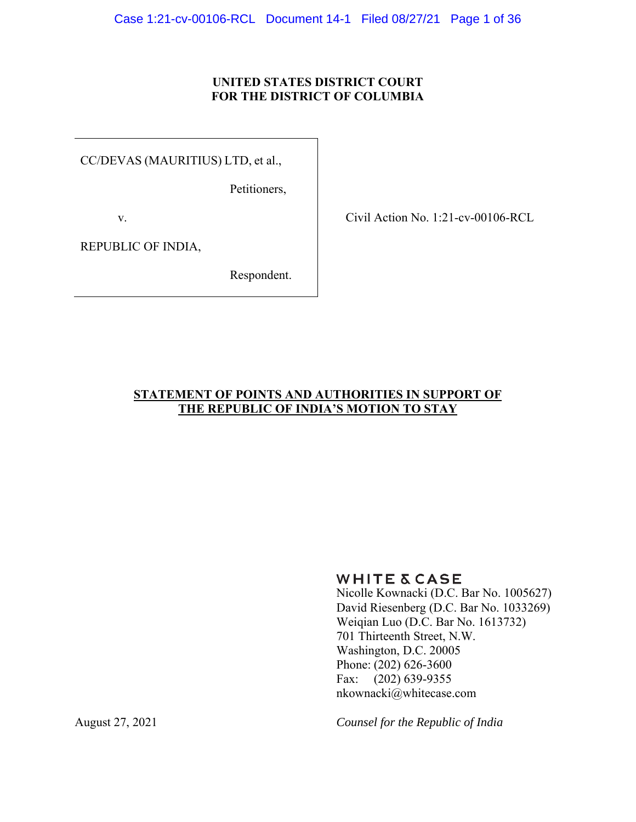## **UNITED STATES DISTRICT COURT FOR THE DISTRICT OF COLUMBIA**

CC/DEVAS (MAURITIUS) LTD, et al.,

Petitioners,

v.

Civil Action No. 1:21-cv-00106-RCL

REPUBLIC OF INDIA,

Respondent.

## **STATEMENT OF POINTS AND AUTHORITIES IN SUPPORT OF THE REPUBLIC OF INDIA'S MOTION TO STAY**

**WHITE & CASE** 

Nicolle Kownacki (D.C. Bar No. 1005627) David Riesenberg (D.C. Bar No. 1033269) Weiqian Luo (D.C. Bar No. 1613732) 701 Thirteenth Street, N.W. Washington, D.C. 20005 Phone: (202) 626-3600 Fax: (202) 639-9355 nkownacki@whitecase.com

August 27, 2021 *Counsel for the Republic of India*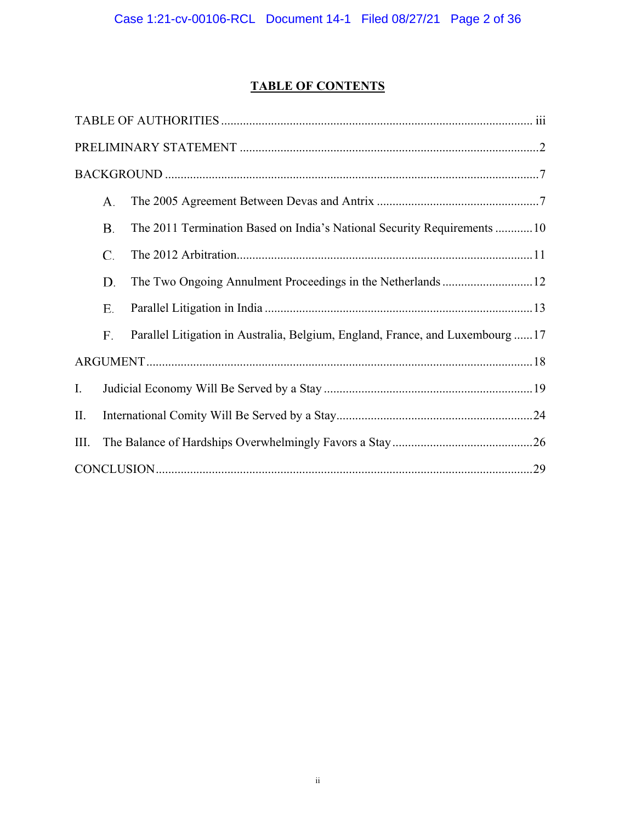# **TABLE OF CONTENTS**

|      | А. |                                                                               |  |  |
|------|----|-------------------------------------------------------------------------------|--|--|
|      | Β. | The 2011 Termination Based on India's National Security Requirements 10       |  |  |
|      | C. |                                                                               |  |  |
|      | D. |                                                                               |  |  |
|      | Е. |                                                                               |  |  |
|      | F. | Parallel Litigation in Australia, Belgium, England, France, and Luxembourg 17 |  |  |
|      |    |                                                                               |  |  |
| Ι.   |    |                                                                               |  |  |
| П.   |    |                                                                               |  |  |
| III. |    |                                                                               |  |  |
|      |    |                                                                               |  |  |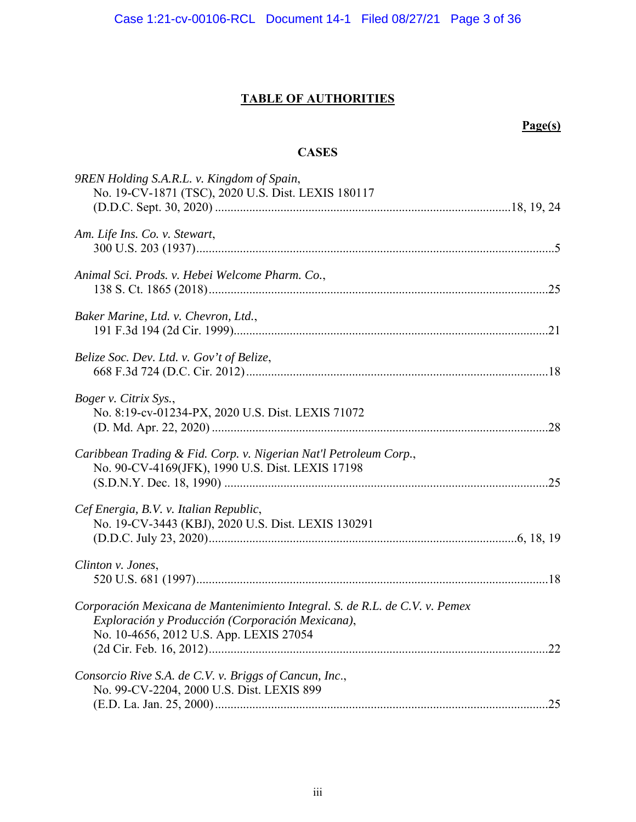## **TABLE OF AUTHORITIES**

## **Page(s)**

## **CASES**

| 9REN Holding S.A.R.L. v. Kingdom of Spain,                                                                                                                                 |
|----------------------------------------------------------------------------------------------------------------------------------------------------------------------------|
| No. 19-CV-1871 (TSC), 2020 U.S. Dist. LEXIS 180117                                                                                                                         |
| Am. Life Ins. Co. v. Stewart,                                                                                                                                              |
|                                                                                                                                                                            |
| Animal Sci. Prods. v. Hebei Welcome Pharm. Co.,                                                                                                                            |
| Baker Marine, Ltd. v. Chevron, Ltd.,                                                                                                                                       |
| Belize Soc. Dev. Ltd. v. Gov't of Belize,                                                                                                                                  |
| Boger v. Citrix Sys.,<br>No. 8:19-cv-01234-PX, 2020 U.S. Dist. LEXIS 71072                                                                                                 |
| Caribbean Trading & Fid. Corp. v. Nigerian Nat'l Petroleum Corp.,<br>No. 90-CV-4169(JFK), 1990 U.S. Dist. LEXIS 17198                                                      |
| Cef Energia, B.V. v. Italian Republic,                                                                                                                                     |
| No. 19-CV-3443 (KBJ), 2020 U.S. Dist. LEXIS 130291                                                                                                                         |
| Clinton v. Jones,                                                                                                                                                          |
| Corporación Mexicana de Mantenimiento Integral. S. de R.L. de C.V. v. Pemex<br>Exploración y Producción (Corporación Mexicana),<br>No. 10-4656, 2012 U.S. App. LEXIS 27054 |
|                                                                                                                                                                            |
| Consorcio Rive S.A. de C.V. v. Briggs of Cancun, Inc.,<br>No. 99-CV-2204, 2000 U.S. Dist. LEXIS 899                                                                        |
|                                                                                                                                                                            |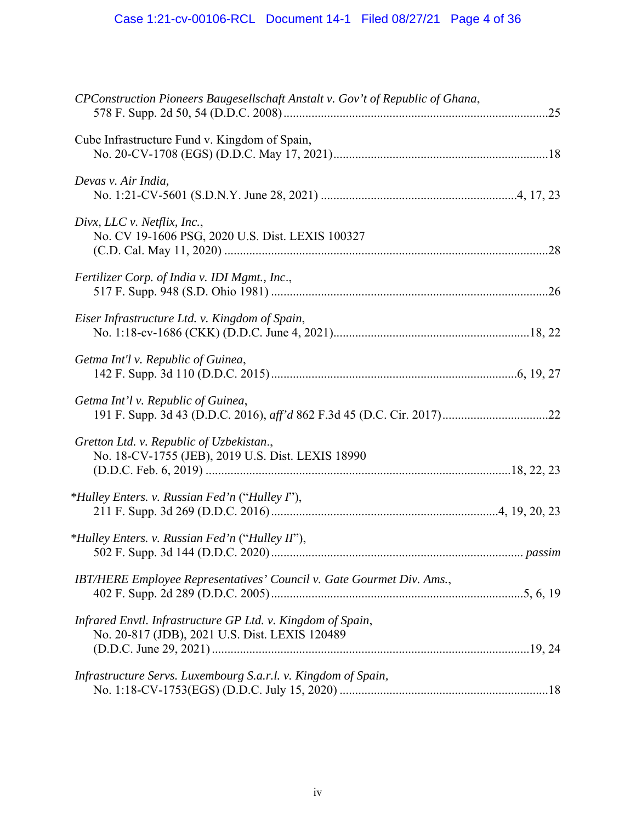| CPConstruction Pioneers Baugesellschaft Anstalt v. Gov't of Republic of Ghana,                                |  |
|---------------------------------------------------------------------------------------------------------------|--|
| Cube Infrastructure Fund v. Kingdom of Spain,                                                                 |  |
| Devas v. Air India,                                                                                           |  |
| Divx, LLC v. Netflix, Inc.,<br>No. CV 19-1606 PSG, 2020 U.S. Dist. LEXIS 100327                               |  |
| Fertilizer Corp. of India v. IDI Mgmt., Inc.,                                                                 |  |
| Eiser Infrastructure Ltd. v. Kingdom of Spain,                                                                |  |
| Getma Int'l v. Republic of Guinea,                                                                            |  |
| Getma Int'l v. Republic of Guinea,                                                                            |  |
| Gretton Ltd. v. Republic of Uzbekistan.,<br>No. 18-CV-1755 (JEB), 2019 U.S. Dist. LEXIS 18990                 |  |
| <i>*Hulley Enters. v. Russian Fed'n ("Hulley P"),</i>                                                         |  |
| <i>*Hulley Enters. v. Russian Fed'n ("Hulley II"),</i>                                                        |  |
| IBT/HERE Employee Representatives' Council v. Gate Gourmet Div. Ams.,                                         |  |
| Infrared Envtl. Infrastructure GP Ltd. v. Kingdom of Spain,<br>No. 20-817 (JDB), 2021 U.S. Dist. LEXIS 120489 |  |
| Infrastructure Servs. Luxembourg S.a.r.l. v. Kingdom of Spain,                                                |  |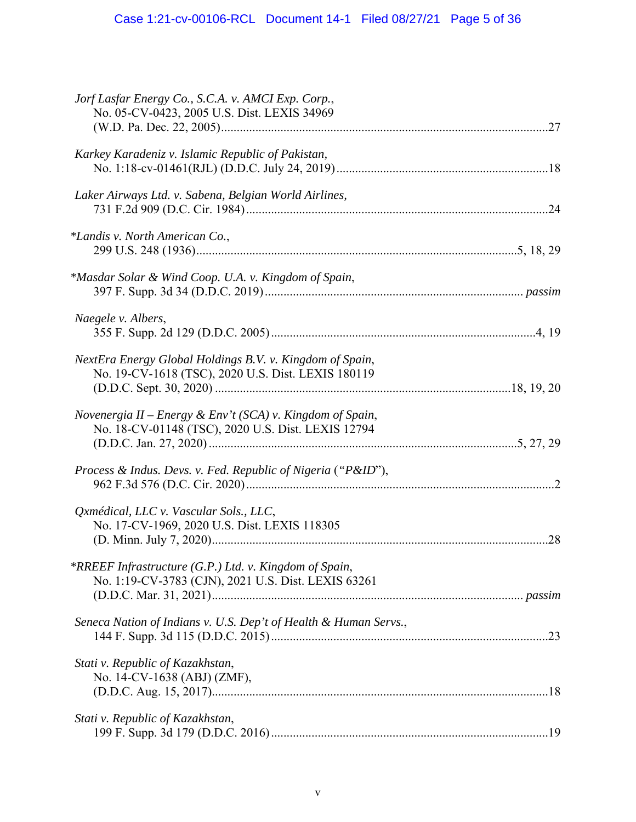| Jorf Lasfar Energy Co., S.C.A. v. AMCI Exp. Corp.,<br>No. 05-CV-0423, 2005 U.S. Dist. LEXIS 34969               |
|-----------------------------------------------------------------------------------------------------------------|
| Karkey Karadeniz v. Islamic Republic of Pakistan,                                                               |
| Laker Airways Ltd. v. Sabena, Belgian World Airlines,                                                           |
| *Landis v. North American Co.,                                                                                  |
| *Masdar Solar & Wind Coop. U.A. v. Kingdom of Spain,                                                            |
| Naegele v. Albers,                                                                                              |
| NextEra Energy Global Holdings B.V. v. Kingdom of Spain,<br>No. 19-CV-1618 (TSC), 2020 U.S. Dist. LEXIS 180119  |
| Novenergia II - Energy & Env't (SCA) v. Kingdom of Spain,<br>No. 18-CV-01148 (TSC), 2020 U.S. Dist. LEXIS 12794 |
| Process & Indus. Devs. v. Fed. Republic of Nigeria ("P&ID"),                                                    |
| Qxmédical, LLC v. Vascular Sols., LLC,<br>No. 17-CV-1969, 2020 U.S. Dist. LEXIS 118305                          |
| *RREEF Infrastructure (G.P.) Ltd. v. Kingdom of Spain,<br>No. 1:19-CV-3783 (CJN), 2021 U.S. Dist. LEXIS 63261   |
| Seneca Nation of Indians v. U.S. Dep't of Health & Human Servs.,                                                |
| Stati v. Republic of Kazakhstan,<br>No. 14-CV-1638 (ABJ) (ZMF),                                                 |
| Stati v. Republic of Kazakhstan,                                                                                |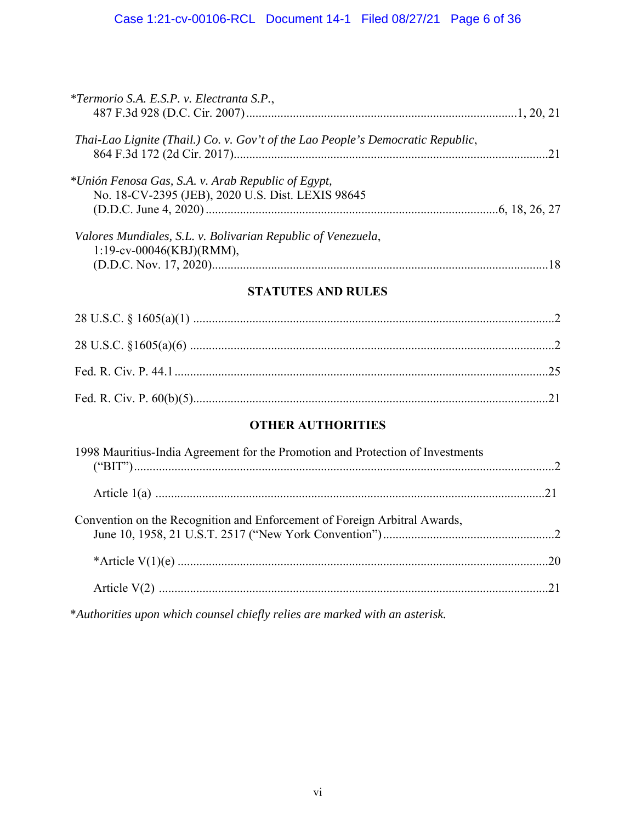| <i>*Termorio S.A. E.S.P. v. Electranta S.P.,</i>                                                        |    |
|---------------------------------------------------------------------------------------------------------|----|
| Thai-Lao Lignite (Thail.) Co. v. Gov't of the Lao People's Democratic Republic,                         |    |
| *Unión Fenosa Gas, S.A. v. Arab Republic of Egypt,<br>No. 18-CV-2395 (JEB), 2020 U.S. Dist. LEXIS 98645 |    |
| Valores Mundiales, S.L. v. Bolivarian Republic of Venezuela,<br>$1:19$ -cv-00046(KBJ)(RMM),             | 18 |

## **STATUTES AND RULES**

## **OTHER AUTHORITIES**

| 1998 Mauritius-India Agreement for the Promotion and Protection of Investments |  |
|--------------------------------------------------------------------------------|--|
|                                                                                |  |
| Convention on the Recognition and Enforcement of Foreign Arbitral Awards,      |  |
|                                                                                |  |
|                                                                                |  |
|                                                                                |  |

\**Authorities upon which counsel chiefly relies are marked with an asterisk.*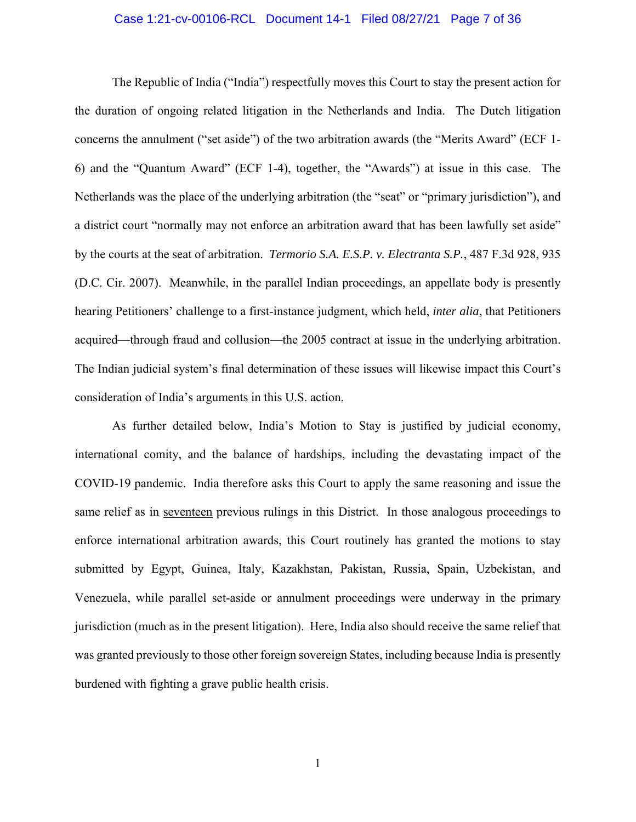### Case 1:21-cv-00106-RCL Document 14-1 Filed 08/27/21 Page 7 of 36

The Republic of India ("India") respectfully moves this Court to stay the present action for the duration of ongoing related litigation in the Netherlands and India. The Dutch litigation concerns the annulment ("set aside") of the two arbitration awards (the "Merits Award" (ECF 1- 6) and the "Quantum Award" (ECF 1-4), together, the "Awards") at issue in this case. The Netherlands was the place of the underlying arbitration (the "seat" or "primary jurisdiction"), and a district court "normally may not enforce an arbitration award that has been lawfully set aside" by the courts at the seat of arbitration. *Termorio S.A. E.S.P. v. Electranta S.P.*, 487 F.3d 928, 935 (D.C. Cir. 2007). Meanwhile, in the parallel Indian proceedings, an appellate body is presently hearing Petitioners' challenge to a first-instance judgment, which held, *inter alia*, that Petitioners acquired—through fraud and collusion—the 2005 contract at issue in the underlying arbitration. The Indian judicial system's final determination of these issues will likewise impact this Court's consideration of India's arguments in this U.S. action.

As further detailed below, India's Motion to Stay is justified by judicial economy, international comity, and the balance of hardships, including the devastating impact of the COVID-19 pandemic. India therefore asks this Court to apply the same reasoning and issue the same relief as in seventeen previous rulings in this District. In those analogous proceedings to enforce international arbitration awards, this Court routinely has granted the motions to stay submitted by Egypt, Guinea, Italy, Kazakhstan, Pakistan, Russia, Spain, Uzbekistan, and Venezuela, while parallel set-aside or annulment proceedings were underway in the primary jurisdiction (much as in the present litigation). Here, India also should receive the same relief that was granted previously to those other foreign sovereign States, including because India is presently burdened with fighting a grave public health crisis.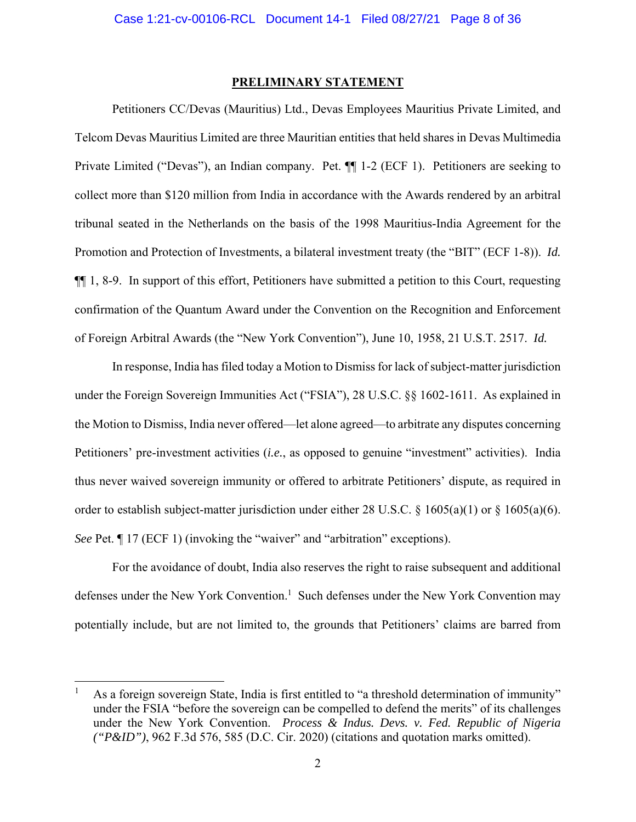#### **PRELIMINARY STATEMENT**

Petitioners CC/Devas (Mauritius) Ltd., Devas Employees Mauritius Private Limited, and Telcom Devas Mauritius Limited are three Mauritian entities that held shares in Devas Multimedia Private Limited ("Devas"), an Indian company. Pet. ¶¶ 1-2 (ECF 1). Petitioners are seeking to collect more than \$120 million from India in accordance with the Awards rendered by an arbitral tribunal seated in the Netherlands on the basis of the 1998 Mauritius-India Agreement for the Promotion and Protection of Investments, a bilateral investment treaty (the "BIT" (ECF 1-8)). *Id.* ¶¶ 1, 8-9. In support of this effort, Petitioners have submitted a petition to this Court, requesting confirmation of the Quantum Award under the Convention on the Recognition and Enforcement of Foreign Arbitral Awards (the "New York Convention"), June 10, 1958, 21 U.S.T. 2517. *Id.*

In response, India has filed today a Motion to Dismiss for lack of subject-matter jurisdiction under the Foreign Sovereign Immunities Act ("FSIA"), 28 U.S.C. §§ 1602-1611. As explained in the Motion to Dismiss, India never offered—let alone agreed—to arbitrate any disputes concerning Petitioners' pre-investment activities (*i.e.*, as opposed to genuine "investment" activities). India thus never waived sovereign immunity or offered to arbitrate Petitioners' dispute, as required in order to establish subject-matter jurisdiction under either 28 U.S.C. § 1605(a)(1) or § 1605(a)(6). *See* Pet.  $\parallel$  17 (ECF 1) (invoking the "waiver" and "arbitration" exceptions).

For the avoidance of doubt, India also reserves the right to raise subsequent and additional defenses under the New York Convention.<sup>1</sup> Such defenses under the New York Convention may potentially include, but are not limited to, the grounds that Petitioners' claims are barred from

l

<sup>1</sup> As a foreign sovereign State, India is first entitled to "a threshold determination of immunity" under the FSIA "before the sovereign can be compelled to defend the merits" of its challenges under the New York Convention. *Process & Indus. Devs. v. Fed. Republic of Nigeria ("P&ID")*, 962 F.3d 576, 585 (D.C. Cir. 2020) (citations and quotation marks omitted).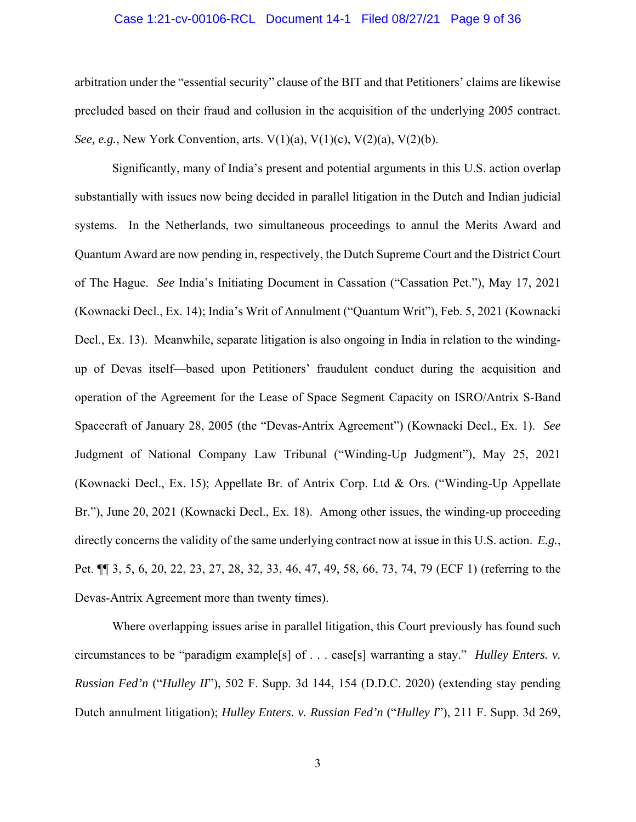### Case 1:21-cv-00106-RCL Document 14-1 Filed 08/27/21 Page 9 of 36

arbitration under the "essential security" clause of the BIT and that Petitioners' claims are likewise precluded based on their fraud and collusion in the acquisition of the underlying 2005 contract. *See, e.g.*, *New York Convention, arts.*  $V(1)(a)$ ,  $V(1)(c)$ ,  $V(2)(a)$ ,  $V(2)(b)$ .

Significantly, many of India's present and potential arguments in this U.S. action overlap substantially with issues now being decided in parallel litigation in the Dutch and Indian judicial systems. In the Netherlands, two simultaneous proceedings to annul the Merits Award and Quantum Award are now pending in, respectively, the Dutch Supreme Court and the District Court of The Hague. *See* India's Initiating Document in Cassation ("Cassation Pet."), May 17, 2021 (Kownacki Decl., Ex. 14); India's Writ of Annulment ("Quantum Writ"), Feb. 5, 2021 (Kownacki Decl., Ex. 13). Meanwhile, separate litigation is also ongoing in India in relation to the windingup of Devas itself—based upon Petitioners' fraudulent conduct during the acquisition and operation of the Agreement for the Lease of Space Segment Capacity on ISRO/Antrix S-Band Spacecraft of January 28, 2005 (the "Devas-Antrix Agreement") (Kownacki Decl., Ex. 1). *See*  Judgment of National Company Law Tribunal ("Winding-Up Judgment"), May 25, 2021 (Kownacki Decl., Ex. 15); Appellate Br. of Antrix Corp. Ltd & Ors. ("Winding-Up Appellate Br."), June 20, 2021 (Kownacki Decl., Ex. 18). Among other issues, the winding-up proceeding directly concerns the validity of the same underlying contract now at issue in this U.S. action. *E.g.*, Pet. ¶¶ 3, 5, 6, 20, 22, 23, 27, 28, 32, 33, 46, 47, 49, 58, 66, 73, 74, 79 (ECF 1) (referring to the Devas-Antrix Agreement more than twenty times).

Where overlapping issues arise in parallel litigation, this Court previously has found such circumstances to be "paradigm example[s] of . . . case[s] warranting a stay." *Hulley Enters. v. Russian Fed'n* ("*Hulley II*"), 502 F. Supp. 3d 144, 154 (D.D.C. 2020) (extending stay pending Dutch annulment litigation); *Hulley Enters. v. Russian Fed'n* ("*Hulley I*"), 211 F. Supp. 3d 269,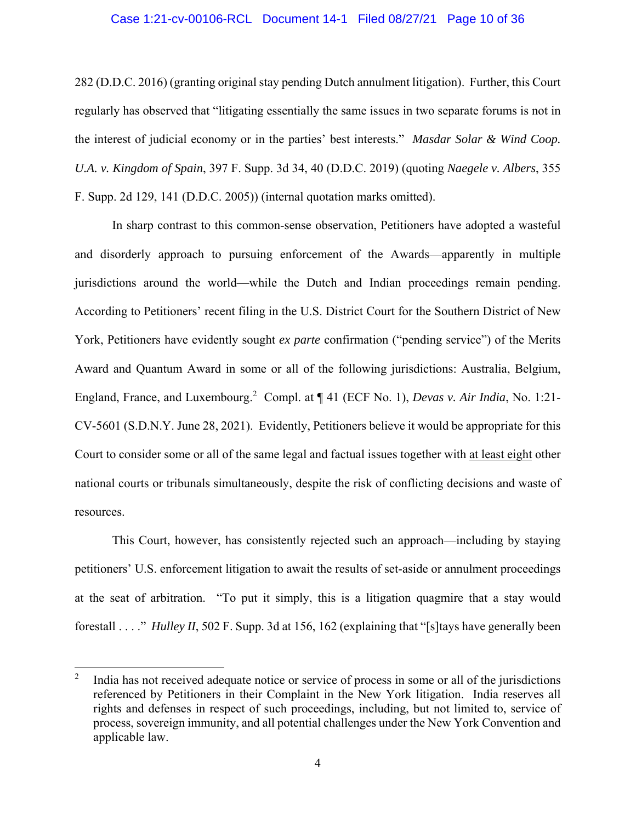### Case 1:21-cv-00106-RCL Document 14-1 Filed 08/27/21 Page 10 of 36

282 (D.D.C. 2016) (granting original stay pending Dutch annulment litigation). Further, this Court regularly has observed that "litigating essentially the same issues in two separate forums is not in the interest of judicial economy or in the parties' best interests." *Masdar Solar & Wind Coop. U.A. v. Kingdom of Spain*, 397 F. Supp. 3d 34, 40 (D.D.C. 2019) (quoting *Naegele v. Albers*, 355 F. Supp. 2d 129, 141 (D.D.C. 2005)) (internal quotation marks omitted).

In sharp contrast to this common-sense observation, Petitioners have adopted a wasteful and disorderly approach to pursuing enforcement of the Awards—apparently in multiple jurisdictions around the world—while the Dutch and Indian proceedings remain pending. According to Petitioners' recent filing in the U.S. District Court for the Southern District of New York, Petitioners have evidently sought *ex parte* confirmation ("pending service") of the Merits Award and Quantum Award in some or all of the following jurisdictions: Australia, Belgium, England, France, and Luxembourg.<sup>2</sup> Compl. at ¶ 41 (ECF No. 1), *Devas v. Air India*, No. 1:21-CV-5601 (S.D.N.Y. June 28, 2021). Evidently, Petitioners believe it would be appropriate for this Court to consider some or all of the same legal and factual issues together with at least eight other national courts or tribunals simultaneously, despite the risk of conflicting decisions and waste of resources.

This Court, however, has consistently rejected such an approach—including by staying petitioners' U.S. enforcement litigation to await the results of set-aside or annulment proceedings at the seat of arbitration. "To put it simply, this is a litigation quagmire that a stay would forestall . . . ." *Hulley II*, 502 F. Supp. 3d at 156, 162 (explaining that "[s]tays have generally been

 $\overline{a}$ 

<sup>2</sup> India has not received adequate notice or service of process in some or all of the jurisdictions referenced by Petitioners in their Complaint in the New York litigation. India reserves all rights and defenses in respect of such proceedings, including, but not limited to, service of process, sovereign immunity, and all potential challenges under the New York Convention and applicable law.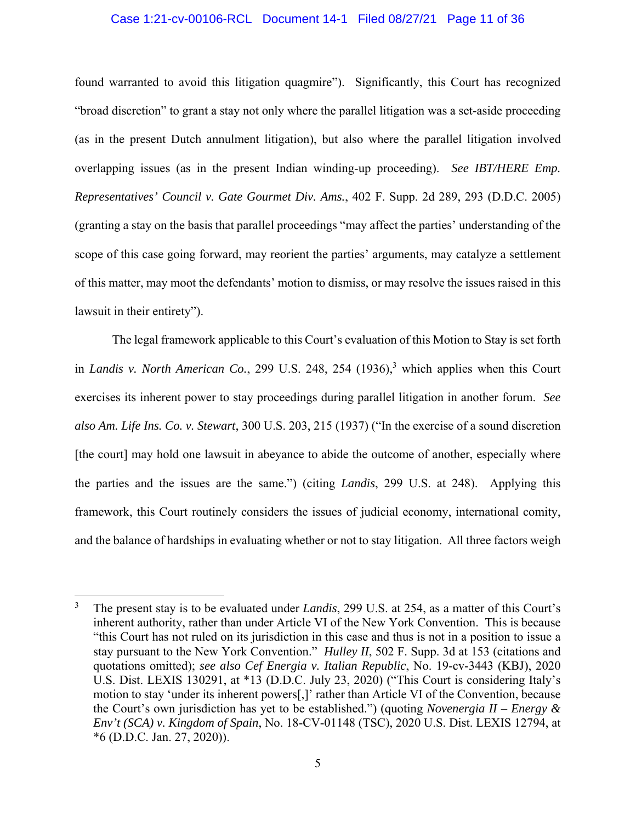### Case 1:21-cv-00106-RCL Document 14-1 Filed 08/27/21 Page 11 of 36

found warranted to avoid this litigation quagmire"). Significantly, this Court has recognized "broad discretion" to grant a stay not only where the parallel litigation was a set-aside proceeding (as in the present Dutch annulment litigation), but also where the parallel litigation involved overlapping issues (as in the present Indian winding-up proceeding). *See IBT/HERE Emp. Representatives' Council v. Gate Gourmet Div. Ams.*, 402 F. Supp. 2d 289, 293 (D.D.C. 2005) (granting a stay on the basis that parallel proceedings "may affect the parties' understanding of the scope of this case going forward, may reorient the parties' arguments, may catalyze a settlement of this matter, may moot the defendants' motion to dismiss, or may resolve the issues raised in this lawsuit in their entirety").

The legal framework applicable to this Court's evaluation of this Motion to Stay is set forth in *Landis v. North American Co.*, 299 U.S. 248, 254  $(1936)$ ,<sup>3</sup> which applies when this Court exercises its inherent power to stay proceedings during parallel litigation in another forum. *See also Am. Life Ins. Co. v. Stewart*, 300 U.S. 203, 215 (1937) ("In the exercise of a sound discretion [the court] may hold one lawsuit in abeyance to abide the outcome of another, especially where the parties and the issues are the same.") (citing *Landis*, 299 U.S. at 248). Applying this framework, this Court routinely considers the issues of judicial economy, international comity, and the balance of hardships in evaluating whether or not to stay litigation. All three factors weigh

 $\overline{a}$ 

<sup>3</sup> The present stay is to be evaluated under *Landis*, 299 U.S. at 254, as a matter of this Court's inherent authority, rather than under Article VI of the New York Convention. This is because "this Court has not ruled on its jurisdiction in this case and thus is not in a position to issue a stay pursuant to the New York Convention." *Hulley II*, 502 F. Supp. 3d at 153 (citations and quotations omitted); *see also Cef Energia v. Italian Republic*, No. 19-cv-3443 (KBJ), 2020 U.S. Dist. LEXIS 130291, at \*13 (D.D.C. July 23, 2020) ("This Court is considering Italy's motion to stay 'under its inherent powers[,]' rather than Article VI of the Convention, because the Court's own jurisdiction has yet to be established.") (quoting *Novenergia II – Energy & Env't (SCA) v. Kingdom of Spain*, No. 18-CV-01148 (TSC), 2020 U.S. Dist. LEXIS 12794, at \*6 (D.D.C. Jan. 27, 2020)).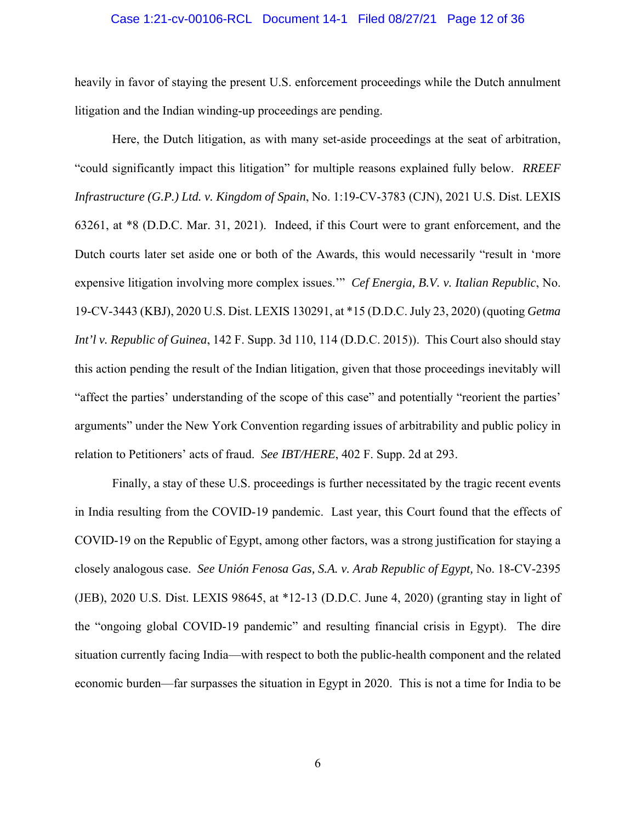#### Case 1:21-cv-00106-RCL Document 14-1 Filed 08/27/21 Page 12 of 36

heavily in favor of staying the present U.S. enforcement proceedings while the Dutch annulment litigation and the Indian winding-up proceedings are pending.

Here, the Dutch litigation, as with many set-aside proceedings at the seat of arbitration, "could significantly impact this litigation" for multiple reasons explained fully below. *RREEF Infrastructure (G.P.) Ltd. v. Kingdom of Spain*, No. 1:19-CV-3783 (CJN), 2021 U.S. Dist. LEXIS 63261, at \*8 (D.D.C. Mar. 31, 2021). Indeed, if this Court were to grant enforcement, and the Dutch courts later set aside one or both of the Awards, this would necessarily "result in 'more expensive litigation involving more complex issues.'" *Cef Energia, B.V. v. Italian Republic*, No. 19-CV-3443 (KBJ), 2020 U.S. Dist. LEXIS 130291, at \*15 (D.D.C. July 23, 2020) (quoting *Getma Int'l v. Republic of Guinea*, 142 F. Supp. 3d 110, 114 (D.D.C. 2015)). This Court also should stay this action pending the result of the Indian litigation, given that those proceedings inevitably will "affect the parties' understanding of the scope of this case" and potentially "reorient the parties' arguments" under the New York Convention regarding issues of arbitrability and public policy in relation to Petitioners' acts of fraud. *See IBT/HERE*, 402 F. Supp. 2d at 293.

Finally, a stay of these U.S. proceedings is further necessitated by the tragic recent events in India resulting from the COVID-19 pandemic. Last year, this Court found that the effects of COVID-19 on the Republic of Egypt, among other factors, was a strong justification for staying a closely analogous case. *See Unión Fenosa Gas, S.A. v. Arab Republic of Egypt,* No. 18-CV-2395 (JEB), 2020 U.S. Dist. LEXIS 98645, at \*12-13 (D.D.C. June 4, 2020) (granting stay in light of the "ongoing global COVID-19 pandemic" and resulting financial crisis in Egypt). The dire situation currently facing India—with respect to both the public-health component and the related economic burden—far surpasses the situation in Egypt in 2020. This is not a time for India to be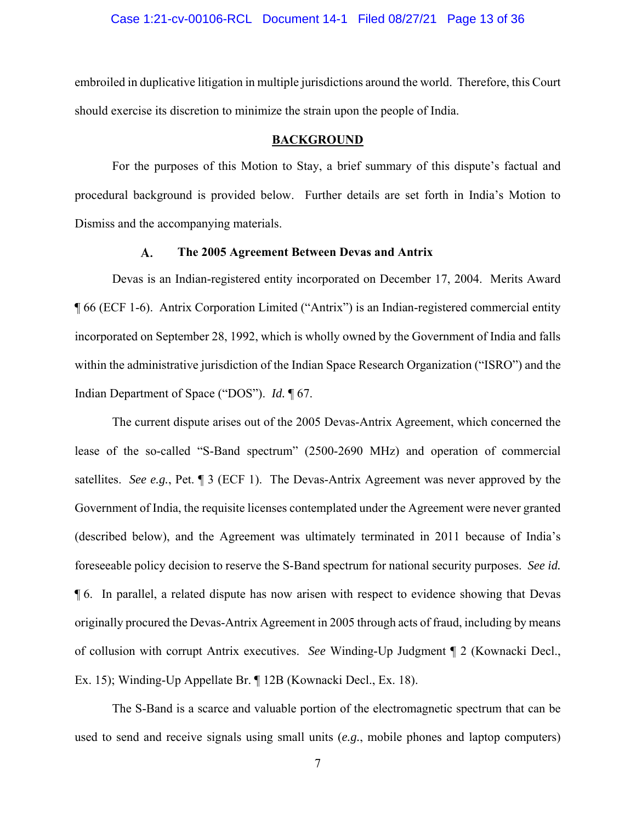embroiled in duplicative litigation in multiple jurisdictions around the world. Therefore, this Court should exercise its discretion to minimize the strain upon the people of India.

### **BACKGROUND**

For the purposes of this Motion to Stay, a brief summary of this dispute's factual and procedural background is provided below. Further details are set forth in India's Motion to Dismiss and the accompanying materials.

#### $\mathbf{A}$ . **The 2005 Agreement Between Devas and Antrix**

Devas is an Indian-registered entity incorporated on December 17, 2004. Merits Award ¶ 66 (ECF 1-6). Antrix Corporation Limited ("Antrix") is an Indian-registered commercial entity incorporated on September 28, 1992, which is wholly owned by the Government of India and falls within the administrative jurisdiction of the Indian Space Research Organization ("ISRO") and the Indian Department of Space ("DOS"). *Id.* ¶ 67.

The current dispute arises out of the 2005 Devas-Antrix Agreement, which concerned the lease of the so-called "S-Band spectrum" (2500-2690 MHz) and operation of commercial satellites. *See e.g.*, Pet. ¶ 3 (ECF 1). The Devas-Antrix Agreement was never approved by the Government of India, the requisite licenses contemplated under the Agreement were never granted (described below), and the Agreement was ultimately terminated in 2011 because of India's foreseeable policy decision to reserve the S-Band spectrum for national security purposes. *See id.* ¶ 6. In parallel, a related dispute has now arisen with respect to evidence showing that Devas originally procured the Devas-Antrix Agreement in 2005 through acts of fraud, including by means of collusion with corrupt Antrix executives. *See* Winding-Up Judgment ¶ 2 (Kownacki Decl., Ex. 15); Winding-Up Appellate Br. ¶ 12B (Kownacki Decl., Ex. 18).

The S-Band is a scarce and valuable portion of the electromagnetic spectrum that can be used to send and receive signals using small units (*e.g.*, mobile phones and laptop computers)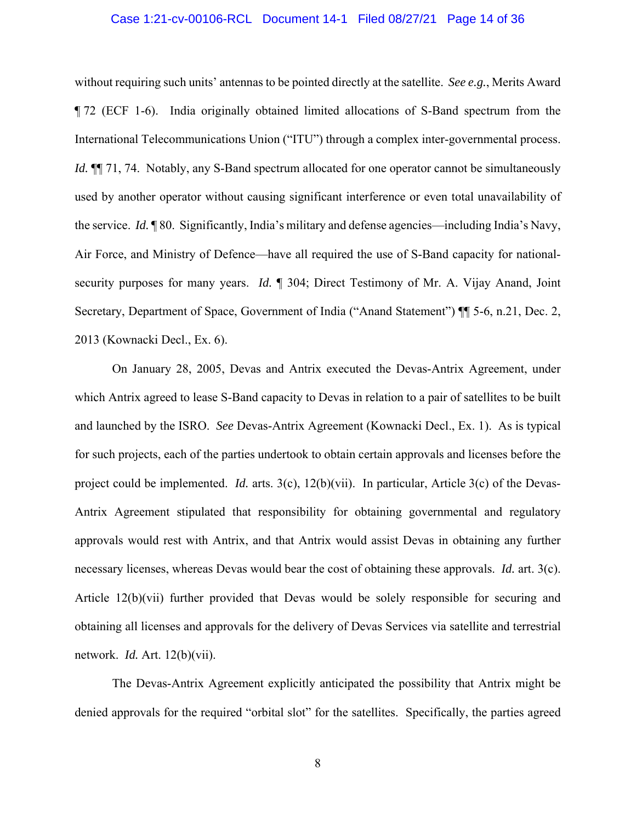#### Case 1:21-cv-00106-RCL Document 14-1 Filed 08/27/21 Page 14 of 36

without requiring such units' antennas to be pointed directly at the satellite. *See e.g.*, Merits Award ¶ 72 (ECF 1-6). India originally obtained limited allocations of S-Band spectrum from the International Telecommunications Union ("ITU") through a complex inter-governmental process. *Id.*  $\P$ <sup> $\parallel$ </sup> 71, 74. Notably, any S-Band spectrum allocated for one operator cannot be simultaneously used by another operator without causing significant interference or even total unavailability of the service. *Id.* ¶ 80. Significantly, India's military and defense agencies—including India's Navy, Air Force, and Ministry of Defence—have all required the use of S-Band capacity for nationalsecurity purposes for many years. *Id.* ¶ 304; Direct Testimony of Mr. A. Vijay Anand, Joint Secretary, Department of Space, Government of India ("Anand Statement") ¶¶ 5-6, n.21, Dec. 2, 2013 (Kownacki Decl., Ex. 6).

On January 28, 2005, Devas and Antrix executed the Devas-Antrix Agreement, under which Antrix agreed to lease S-Band capacity to Devas in relation to a pair of satellites to be built and launched by the ISRO. *See* Devas-Antrix Agreement (Kownacki Decl., Ex. 1). As is typical for such projects, each of the parties undertook to obtain certain approvals and licenses before the project could be implemented. *Id.* arts. 3(c), 12(b)(vii). In particular, Article 3(c) of the Devas-Antrix Agreement stipulated that responsibility for obtaining governmental and regulatory approvals would rest with Antrix, and that Antrix would assist Devas in obtaining any further necessary licenses, whereas Devas would bear the cost of obtaining these approvals. *Id.* art. 3(c). Article 12(b)(vii) further provided that Devas would be solely responsible for securing and obtaining all licenses and approvals for the delivery of Devas Services via satellite and terrestrial network. *Id.* Art. 12(b)(vii).

The Devas-Antrix Agreement explicitly anticipated the possibility that Antrix might be denied approvals for the required "orbital slot" for the satellites. Specifically, the parties agreed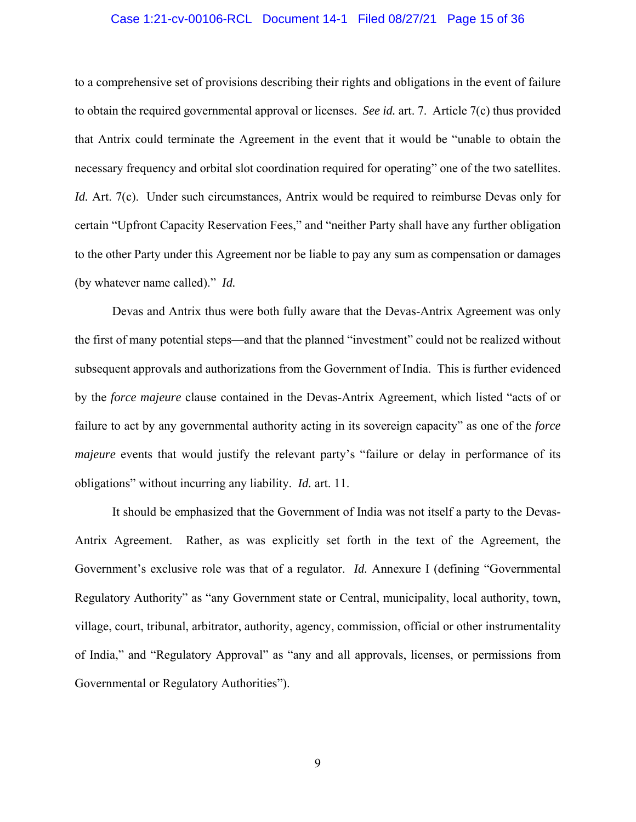### Case 1:21-cv-00106-RCL Document 14-1 Filed 08/27/21 Page 15 of 36

to a comprehensive set of provisions describing their rights and obligations in the event of failure to obtain the required governmental approval or licenses. *See id.* art. 7. Article 7(c) thus provided that Antrix could terminate the Agreement in the event that it would be "unable to obtain the necessary frequency and orbital slot coordination required for operating" one of the two satellites. *Id.* Art. 7(c). Under such circumstances, Antrix would be required to reimburse Devas only for certain "Upfront Capacity Reservation Fees," and "neither Party shall have any further obligation to the other Party under this Agreement nor be liable to pay any sum as compensation or damages (by whatever name called)." *Id.*

Devas and Antrix thus were both fully aware that the Devas-Antrix Agreement was only the first of many potential steps—and that the planned "investment" could not be realized without subsequent approvals and authorizations from the Government of India. This is further evidenced by the *force majeure* clause contained in the Devas-Antrix Agreement, which listed "acts of or failure to act by any governmental authority acting in its sovereign capacity" as one of the *force majeure* events that would justify the relevant party's "failure or delay in performance of its obligations" without incurring any liability. *Id.* art. 11.

It should be emphasized that the Government of India was not itself a party to the Devas-Antrix Agreement. Rather, as was explicitly set forth in the text of the Agreement, the Government's exclusive role was that of a regulator. *Id.* Annexure I (defining "Governmental Regulatory Authority" as "any Government state or Central, municipality, local authority, town, village, court, tribunal, arbitrator, authority, agency, commission, official or other instrumentality of India," and "Regulatory Approval" as "any and all approvals, licenses, or permissions from Governmental or Regulatory Authorities").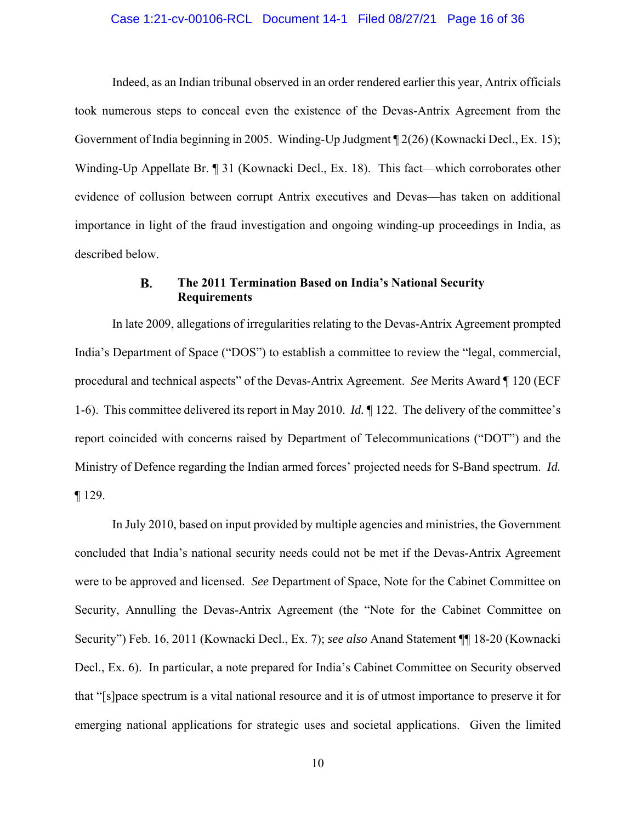#### Case 1:21-cv-00106-RCL Document 14-1 Filed 08/27/21 Page 16 of 36

Indeed, as an Indian tribunal observed in an order rendered earlier this year, Antrix officials took numerous steps to conceal even the existence of the Devas-Antrix Agreement from the Government of India beginning in 2005. Winding-Up Judgment ¶ 2(26) (Kownacki Decl., Ex. 15); Winding-Up Appellate Br. ¶ 31 (Kownacki Decl., Ex. 18). This fact—which corroborates other evidence of collusion between corrupt Antrix executives and Devas—has taken on additional importance in light of the fraud investigation and ongoing winding-up proceedings in India, as described below.

#### В. **The 2011 Termination Based on India's National Security Requirements**

In late 2009, allegations of irregularities relating to the Devas-Antrix Agreement prompted India's Department of Space ("DOS") to establish a committee to review the "legal, commercial, procedural and technical aspects" of the Devas-Antrix Agreement. *See* Merits Award ¶ 120 (ECF 1-6). This committee delivered its report in May 2010. *Id.* ¶ 122. The delivery of the committee's report coincided with concerns raised by Department of Telecommunications ("DOT") and the Ministry of Defence regarding the Indian armed forces' projected needs for S-Band spectrum. *Id.*  ¶ 129.

In July 2010, based on input provided by multiple agencies and ministries, the Government concluded that India's national security needs could not be met if the Devas-Antrix Agreement were to be approved and licensed. *See* Department of Space, Note for the Cabinet Committee on Security, Annulling the Devas-Antrix Agreement (the "Note for the Cabinet Committee on Security") Feb. 16, 2011 (Kownacki Decl., Ex. 7); *see also* Anand Statement ¶¶ 18-20 (Kownacki Decl., Ex. 6). In particular, a note prepared for India's Cabinet Committee on Security observed that "[s]pace spectrum is a vital national resource and it is of utmost importance to preserve it for emerging national applications for strategic uses and societal applications. Given the limited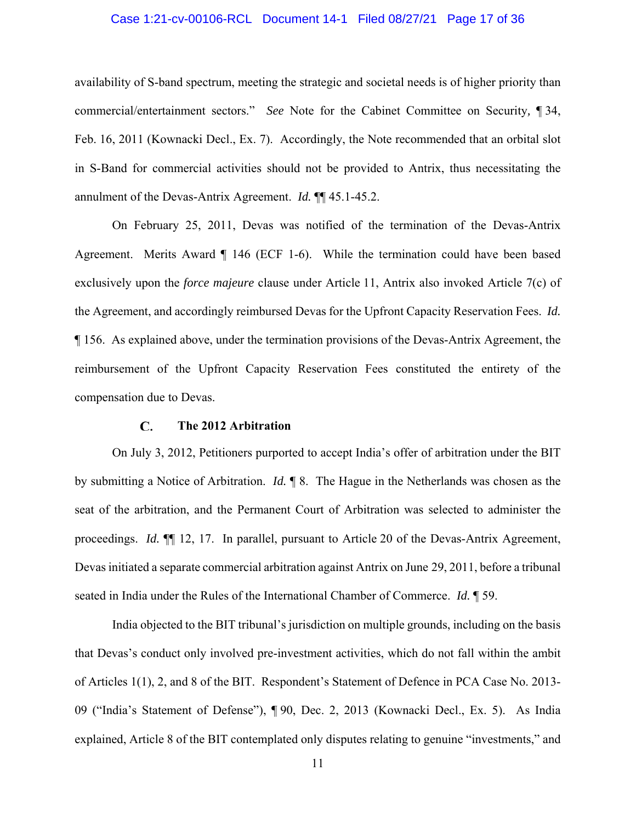### Case 1:21-cv-00106-RCL Document 14-1 Filed 08/27/21 Page 17 of 36

availability of S-band spectrum, meeting the strategic and societal needs is of higher priority than commercial/entertainment sectors." *See* Note for the Cabinet Committee on Security*,* ¶ 34, Feb. 16, 2011 (Kownacki Decl., Ex. 7). Accordingly, the Note recommended that an orbital slot in S-Band for commercial activities should not be provided to Antrix, thus necessitating the annulment of the Devas-Antrix Agreement. *Id.* ¶¶ 45.1-45.2.

On February 25, 2011, Devas was notified of the termination of the Devas-Antrix Agreement. Merits Award ¶ 146 (ECF 1-6). While the termination could have been based exclusively upon the *force majeure* clause under Article 11, Antrix also invoked Article 7(c) of the Agreement, and accordingly reimbursed Devas for the Upfront Capacity Reservation Fees. *Id.*  ¶ 156. As explained above, under the termination provisions of the Devas-Antrix Agreement, the reimbursement of the Upfront Capacity Reservation Fees constituted the entirety of the compensation due to Devas.

#### C. **The 2012 Arbitration**

On July 3, 2012, Petitioners purported to accept India's offer of arbitration under the BIT by submitting a Notice of Arbitration. *Id.* ¶ 8. The Hague in the Netherlands was chosen as the seat of the arbitration, and the Permanent Court of Arbitration was selected to administer the proceedings. *Id.*  $\P$  12, 17. In parallel, pursuant to Article 20 of the Devas-Antrix Agreement, Devas initiated a separate commercial arbitration against Antrix on June 29, 2011, before a tribunal seated in India under the Rules of the International Chamber of Commerce. *Id.* ¶ 59.

India objected to the BIT tribunal's jurisdiction on multiple grounds, including on the basis that Devas's conduct only involved pre-investment activities, which do not fall within the ambit of Articles 1(1), 2, and 8 of the BIT. Respondent's Statement of Defence in PCA Case No. 2013- 09 ("India's Statement of Defense"), ¶ 90, Dec. 2, 2013 (Kownacki Decl., Ex. 5). As India explained, Article 8 of the BIT contemplated only disputes relating to genuine "investments," and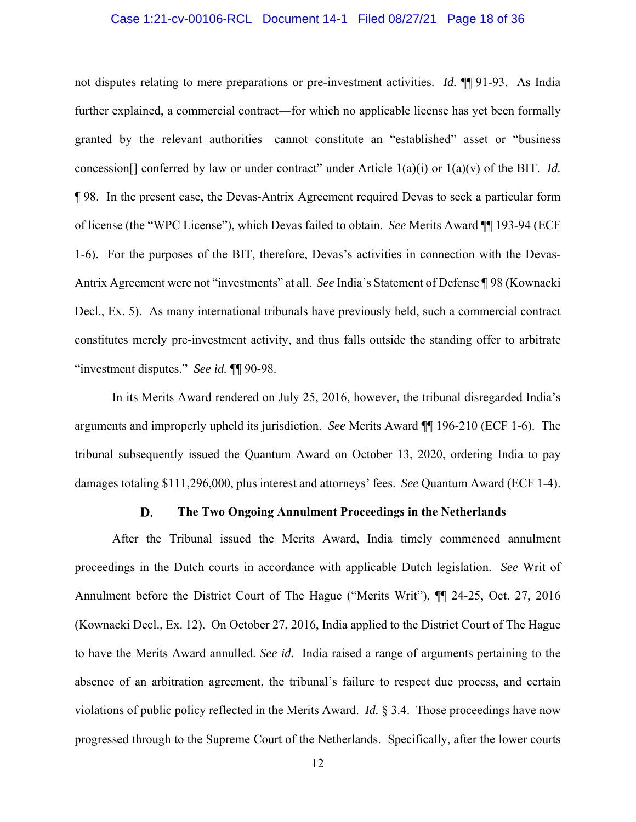#### Case 1:21-cv-00106-RCL Document 14-1 Filed 08/27/21 Page 18 of 36

not disputes relating to mere preparations or pre-investment activities. *Id.* ¶¶ 91-93.As India further explained, a commercial contract—for which no applicable license has yet been formally granted by the relevant authorities—cannot constitute an "established" asset or "business concession[] conferred by law or under contract" under Article 1(a)(i) or 1(a)(v) of the BIT. *Id.*  ¶ 98. In the present case, the Devas-Antrix Agreement required Devas to seek a particular form of license (the "WPC License"), which Devas failed to obtain. *See* Merits Award ¶¶ 193-94 (ECF 1-6). For the purposes of the BIT, therefore, Devas's activities in connection with the Devas-Antrix Agreement were not "investments" at all. *See* India's Statement of Defense ¶ 98 (Kownacki Decl., Ex. 5). As many international tribunals have previously held, such a commercial contract constitutes merely pre-investment activity, and thus falls outside the standing offer to arbitrate "investment disputes." *See id.* ¶¶ 90-98.

In its Merits Award rendered on July 25, 2016, however, the tribunal disregarded India's arguments and improperly upheld its jurisdiction. *See* Merits Award ¶¶ 196-210 (ECF 1-6). The tribunal subsequently issued the Quantum Award on October 13, 2020, ordering India to pay damages totaling \$111,296,000, plus interest and attorneys' fees. *See* Quantum Award (ECF 1-4).

#### D. **The Two Ongoing Annulment Proceedings in the Netherlands**

After the Tribunal issued the Merits Award, India timely commenced annulment proceedings in the Dutch courts in accordance with applicable Dutch legislation. *See* Writ of Annulment before the District Court of The Hague ("Merits Writ"), ¶¶ 24-25, Oct. 27, 2016 (Kownacki Decl., Ex. 12). On October 27, 2016, India applied to the District Court of The Hague to have the Merits Award annulled. *See id.* India raised a range of arguments pertaining to the absence of an arbitration agreement, the tribunal's failure to respect due process, and certain violations of public policy reflected in the Merits Award. *Id.* § 3.4. Those proceedings have now progressed through to the Supreme Court of the Netherlands. Specifically, after the lower courts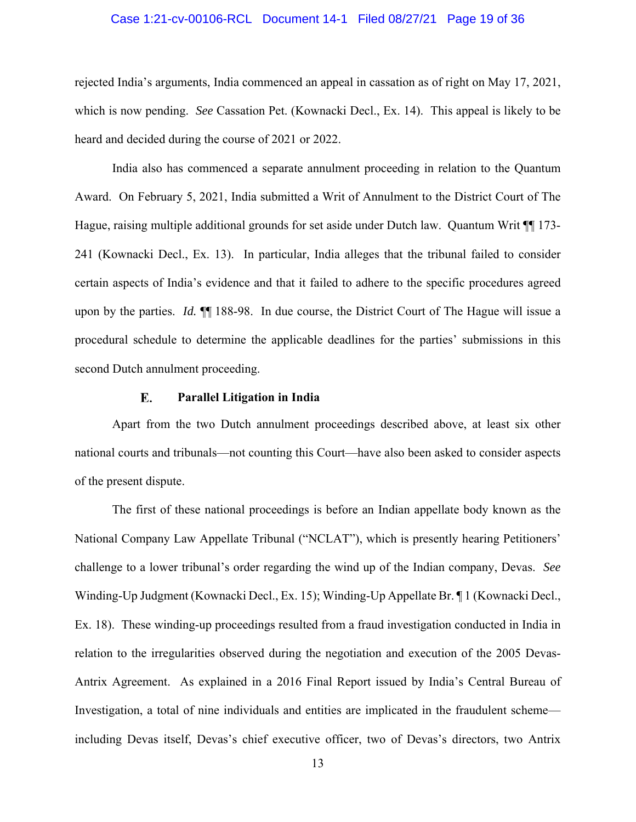#### Case 1:21-cv-00106-RCL Document 14-1 Filed 08/27/21 Page 19 of 36

rejected India's arguments, India commenced an appeal in cassation as of right on May 17, 2021, which is now pending. *See* Cassation Pet. (Kownacki Decl., Ex. 14). This appeal is likely to be heard and decided during the course of 2021 or 2022.

India also has commenced a separate annulment proceeding in relation to the Quantum Award. On February 5, 2021, India submitted a Writ of Annulment to the District Court of The Hague, raising multiple additional grounds for set aside under Dutch law. Quantum Writ  $\P$  173-241 (Kownacki Decl., Ex. 13). In particular, India alleges that the tribunal failed to consider certain aspects of India's evidence and that it failed to adhere to the specific procedures agreed upon by the parties. *Id.* ¶¶ 188-98. In due course, the District Court of The Hague will issue a procedural schedule to determine the applicable deadlines for the parties' submissions in this second Dutch annulment proceeding.

#### E. **Parallel Litigation in India**

Apart from the two Dutch annulment proceedings described above, at least six other national courts and tribunals—not counting this Court—have also been asked to consider aspects of the present dispute.

The first of these national proceedings is before an Indian appellate body known as the National Company Law Appellate Tribunal ("NCLAT"), which is presently hearing Petitioners' challenge to a lower tribunal's order regarding the wind up of the Indian company, Devas. *See*  Winding-Up Judgment (Kownacki Decl., Ex. 15); Winding-Up Appellate Br. ¶ 1 (Kownacki Decl., Ex. 18). These winding-up proceedings resulted from a fraud investigation conducted in India in relation to the irregularities observed during the negotiation and execution of the 2005 Devas-Antrix Agreement. As explained in a 2016 Final Report issued by India's Central Bureau of Investigation, a total of nine individuals and entities are implicated in the fraudulent scheme including Devas itself, Devas's chief executive officer, two of Devas's directors, two Antrix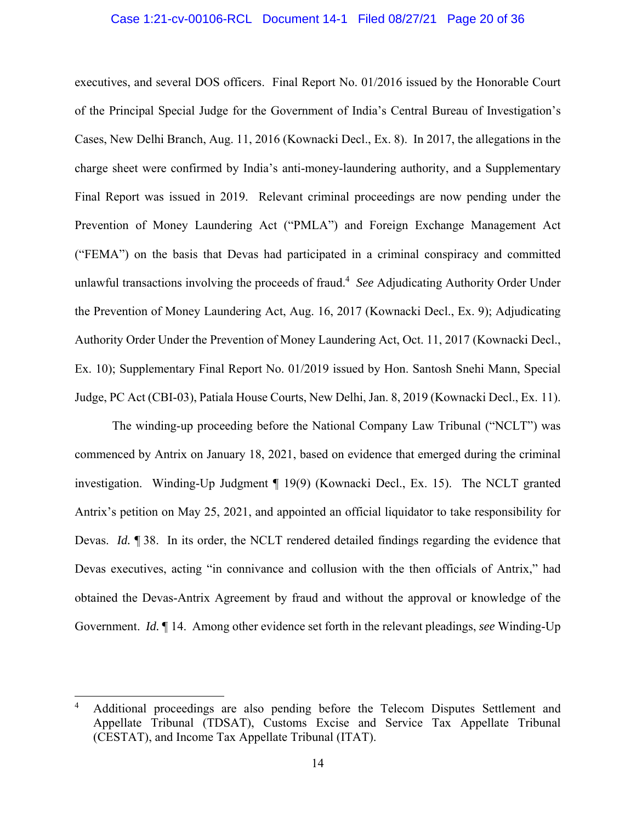### Case 1:21-cv-00106-RCL Document 14-1 Filed 08/27/21 Page 20 of 36

executives, and several DOS officers. Final Report No. 01/2016 issued by the Honorable Court of the Principal Special Judge for the Government of India's Central Bureau of Investigation's Cases, New Delhi Branch, Aug. 11, 2016 (Kownacki Decl., Ex. 8). In 2017, the allegations in the charge sheet were confirmed by India's anti-money-laundering authority, and a Supplementary Final Report was issued in 2019. Relevant criminal proceedings are now pending under the Prevention of Money Laundering Act ("PMLA") and Foreign Exchange Management Act ("FEMA") on the basis that Devas had participated in a criminal conspiracy and committed unlawful transactions involving the proceeds of fraud.4 *See* Adjudicating Authority Order Under the Prevention of Money Laundering Act, Aug. 16, 2017 (Kownacki Decl., Ex. 9); Adjudicating Authority Order Under the Prevention of Money Laundering Act, Oct. 11, 2017 (Kownacki Decl., Ex. 10); Supplementary Final Report No. 01/2019 issued by Hon. Santosh Snehi Mann, Special Judge, PC Act (CBI-03), Patiala House Courts, New Delhi, Jan. 8, 2019 (Kownacki Decl., Ex. 11).

The winding-up proceeding before the National Company Law Tribunal ("NCLT") was commenced by Antrix on January 18, 2021, based on evidence that emerged during the criminal investigation. Winding-Up Judgment ¶ 19(9) (Kownacki Decl., Ex. 15). The NCLT granted Antrix's petition on May 25, 2021, and appointed an official liquidator to take responsibility for Devas. *Id.* **[38.** In its order, the NCLT rendered detailed findings regarding the evidence that Devas executives, acting "in connivance and collusion with the then officials of Antrix," had obtained the Devas-Antrix Agreement by fraud and without the approval or knowledge of the Government. *Id.* ¶ 14. Among other evidence set forth in the relevant pleadings, *see* Winding-Up

l

<sup>4</sup> Additional proceedings are also pending before the Telecom Disputes Settlement and Appellate Tribunal (TDSAT), Customs Excise and Service Tax Appellate Tribunal (CESTAT), and Income Tax Appellate Tribunal (ITAT).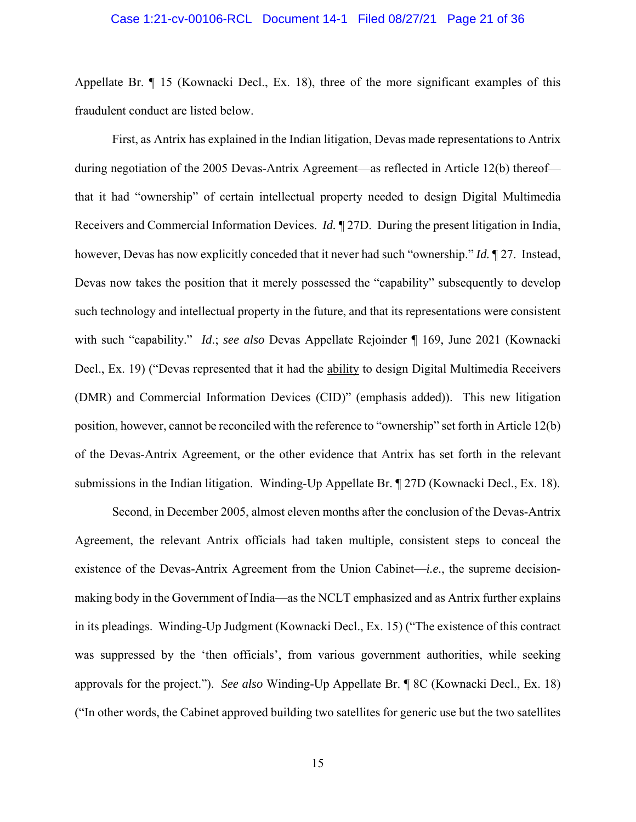#### Case 1:21-cv-00106-RCL Document 14-1 Filed 08/27/21 Page 21 of 36

Appellate Br. ¶ 15 (Kownacki Decl., Ex. 18), three of the more significant examples of this fraudulent conduct are listed below.

First, as Antrix has explained in the Indian litigation, Devas made representations to Antrix during negotiation of the 2005 Devas-Antrix Agreement—as reflected in Article 12(b) thereof that it had "ownership" of certain intellectual property needed to design Digital Multimedia Receivers and Commercial Information Devices. *Id.* ¶ 27D. During the present litigation in India, however, Devas has now explicitly conceded that it never had such "ownership." *Id.* ¶ 27. Instead, Devas now takes the position that it merely possessed the "capability" subsequently to develop such technology and intellectual property in the future, and that its representations were consistent with such "capability." *Id*.; *see also* Devas Appellate Rejoinder ¶ 169, June 2021 (Kownacki Decl., Ex. 19) ("Devas represented that it had the ability to design Digital Multimedia Receivers (DMR) and Commercial Information Devices (CID)" (emphasis added)). This new litigation position, however, cannot be reconciled with the reference to "ownership" set forth in Article 12(b) of the Devas-Antrix Agreement, or the other evidence that Antrix has set forth in the relevant submissions in the Indian litigation. Winding-Up Appellate Br. ¶ 27D (Kownacki Decl., Ex. 18).

Second, in December 2005, almost eleven months after the conclusion of the Devas-Antrix Agreement, the relevant Antrix officials had taken multiple, consistent steps to conceal the existence of the Devas-Antrix Agreement from the Union Cabinet—*i.e.*, the supreme decisionmaking body in the Government of India—as the NCLT emphasized and as Antrix further explains in its pleadings. Winding-Up Judgment (Kownacki Decl., Ex. 15) ("The existence of this contract was suppressed by the 'then officials', from various government authorities, while seeking approvals for the project."). *See also* Winding-Up Appellate Br. ¶ 8C (Kownacki Decl., Ex. 18) ("In other words, the Cabinet approved building two satellites for generic use but the two satellites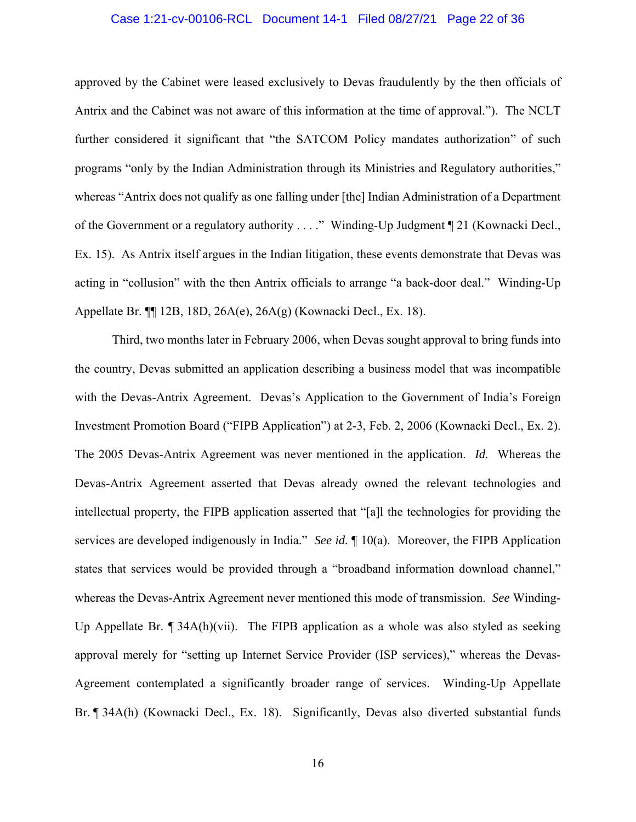### Case 1:21-cv-00106-RCL Document 14-1 Filed 08/27/21 Page 22 of 36

approved by the Cabinet were leased exclusively to Devas fraudulently by the then officials of Antrix and the Cabinet was not aware of this information at the time of approval."). The NCLT further considered it significant that "the SATCOM Policy mandates authorization" of such programs "only by the Indian Administration through its Ministries and Regulatory authorities," whereas "Antrix does not qualify as one falling under [the] Indian Administration of a Department of the Government or a regulatory authority . . . ." Winding-Up Judgment ¶ 21 (Kownacki Decl., Ex. 15). As Antrix itself argues in the Indian litigation, these events demonstrate that Devas was acting in "collusion" with the then Antrix officials to arrange "a back-door deal." Winding-Up Appellate Br. ¶¶ 12B, 18D, 26A(e), 26A(g) (Kownacki Decl., Ex. 18).

Third, two months later in February 2006, when Devas sought approval to bring funds into the country, Devas submitted an application describing a business model that was incompatible with the Devas-Antrix Agreement. Devas's Application to the Government of India's Foreign Investment Promotion Board ("FIPB Application") at 2-3, Feb. 2, 2006 (Kownacki Decl., Ex. 2). The 2005 Devas-Antrix Agreement was never mentioned in the application. *Id.* Whereas the Devas-Antrix Agreement asserted that Devas already owned the relevant technologies and intellectual property, the FIPB application asserted that "[a]l the technologies for providing the services are developed indigenously in India." *See id.* ¶ 10(a). Moreover, the FIPB Application states that services would be provided through a "broadband information download channel," whereas the Devas-Antrix Agreement never mentioned this mode of transmission. *See* Winding-Up Appellate Br.  $\P$  34A(h)(vii). The FIPB application as a whole was also styled as seeking approval merely for "setting up Internet Service Provider (ISP services)," whereas the Devas-Agreement contemplated a significantly broader range of services. Winding-Up Appellate Br. ¶ 34A(h) (Kownacki Decl., Ex. 18). Significantly, Devas also diverted substantial funds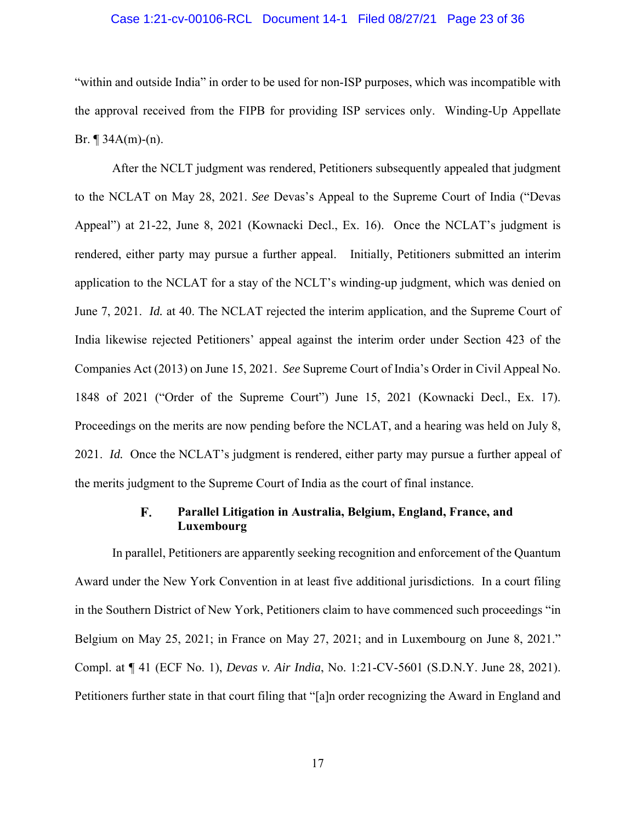### Case 1:21-cv-00106-RCL Document 14-1 Filed 08/27/21 Page 23 of 36

"within and outside India" in order to be used for non-ISP purposes, which was incompatible with the approval received from the FIPB for providing ISP services only. Winding-Up Appellate Br.  $\P$  34A(m)-(n).

After the NCLT judgment was rendered, Petitioners subsequently appealed that judgment to the NCLAT on May 28, 2021. *See* Devas's Appeal to the Supreme Court of India ("Devas Appeal") at 21-22, June 8, 2021 (Kownacki Decl., Ex. 16). Once the NCLAT's judgment is rendered, either party may pursue a further appeal. Initially, Petitioners submitted an interim application to the NCLAT for a stay of the NCLT's winding-up judgment, which was denied on June 7, 2021. *Id.* at 40. The NCLAT rejected the interim application, and the Supreme Court of India likewise rejected Petitioners' appeal against the interim order under Section 423 of the Companies Act (2013) on June 15, 2021. *See* Supreme Court of India's Order in Civil Appeal No. 1848 of 2021 ("Order of the Supreme Court") June 15, 2021 (Kownacki Decl., Ex. 17). Proceedings on the merits are now pending before the NCLAT, and a hearing was held on July 8, 2021. *Id.* Once the NCLAT's judgment is rendered, either party may pursue a further appeal of the merits judgment to the Supreme Court of India as the court of final instance.

#### **Parallel Litigation in Australia, Belgium, England, France, and** F. **Luxembourg**

In parallel, Petitioners are apparently seeking recognition and enforcement of the Quantum Award under the New York Convention in at least five additional jurisdictions. In a court filing in the Southern District of New York, Petitioners claim to have commenced such proceedings "in Belgium on May 25, 2021; in France on May 27, 2021; and in Luxembourg on June 8, 2021." Compl. at ¶ 41 (ECF No. 1), *Devas v. Air India*, No. 1:21-CV-5601 (S.D.N.Y. June 28, 2021). Petitioners further state in that court filing that "[a]n order recognizing the Award in England and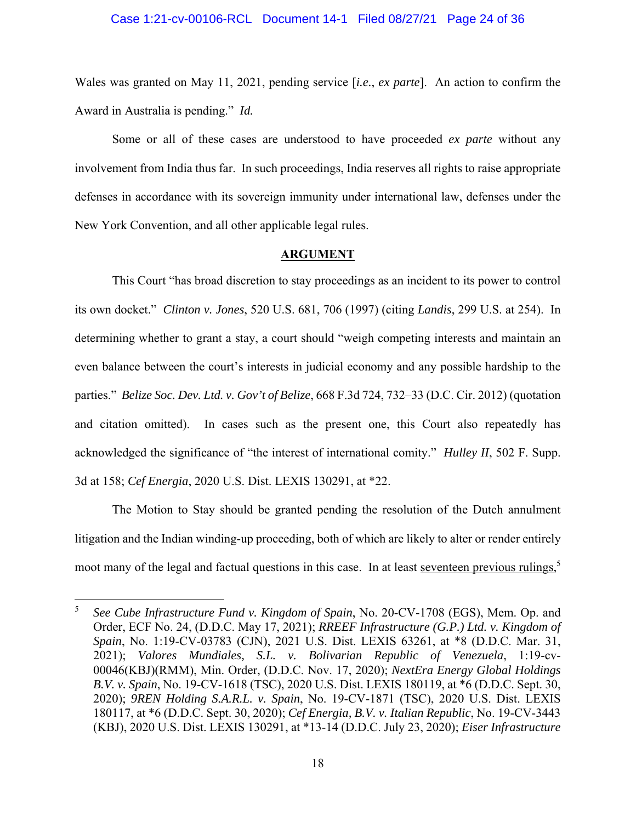#### Case 1:21-cv-00106-RCL Document 14-1 Filed 08/27/21 Page 24 of 36

Wales was granted on May 11, 2021, pending service [*i.e.*, *ex parte*]. An action to confirm the Award in Australia is pending." *Id.*

Some or all of these cases are understood to have proceeded *ex parte* without any involvement from India thus far. In such proceedings, India reserves all rights to raise appropriate defenses in accordance with its sovereign immunity under international law, defenses under the New York Convention, and all other applicable legal rules.

#### **ARGUMENT**

This Court "has broad discretion to stay proceedings as an incident to its power to control its own docket." *Clinton v. Jones*, 520 U.S. 681, 706 (1997) (citing *Landis*, 299 U.S. at 254). In determining whether to grant a stay, a court should "weigh competing interests and maintain an even balance between the court's interests in judicial economy and any possible hardship to the parties." *Belize Soc. Dev. Ltd. v. Gov't of Belize*, 668 F.3d 724, 732–33 (D.C. Cir. 2012) (quotation and citation omitted). In cases such as the present one, this Court also repeatedly has acknowledged the significance of "the interest of international comity." *Hulley II*, 502 F. Supp. 3d at 158; *Cef Energia*, 2020 U.S. Dist. LEXIS 130291, at \*22.

The Motion to Stay should be granted pending the resolution of the Dutch annulment litigation and the Indian winding-up proceeding, both of which are likely to alter or render entirely moot many of the legal and factual questions in this case. In at least seventeen previous rulings,<sup>5</sup>

 $\overline{a}$ 

<sup>5</sup> *See Cube Infrastructure Fund v. Kingdom of Spain*, No. 20-CV-1708 (EGS), Mem. Op. and Order, ECF No. 24, (D.D.C. May 17, 2021); *RREEF Infrastructure (G.P.) Ltd. v. Kingdom of Spain*, No. 1:19-CV-03783 (CJN), 2021 U.S. Dist. LEXIS 63261, at \*8 (D.D.C. Mar. 31, 2021); *Valores Mundiales, S.L. v. Bolivarian Republic of Venezuela*, 1:19-cv-00046(KBJ)(RMM), Min. Order, (D.D.C. Nov. 17, 2020); *NextEra Energy Global Holdings B.V. v. Spain*, No. 19-CV-1618 (TSC), 2020 U.S. Dist. LEXIS 180119, at \*6 (D.D.C. Sept. 30, 2020); *9REN Holding S.A.R.L. v. Spain*, No. 19-CV-1871 (TSC), 2020 U.S. Dist. LEXIS 180117, at \*6 (D.D.C. Sept. 30, 2020); *Cef Energia, B.V. v. Italian Republic*, No. 19-CV-3443 (KBJ), 2020 U.S. Dist. LEXIS 130291, at \*13-14 (D.D.C. July 23, 2020); *Eiser Infrastructure*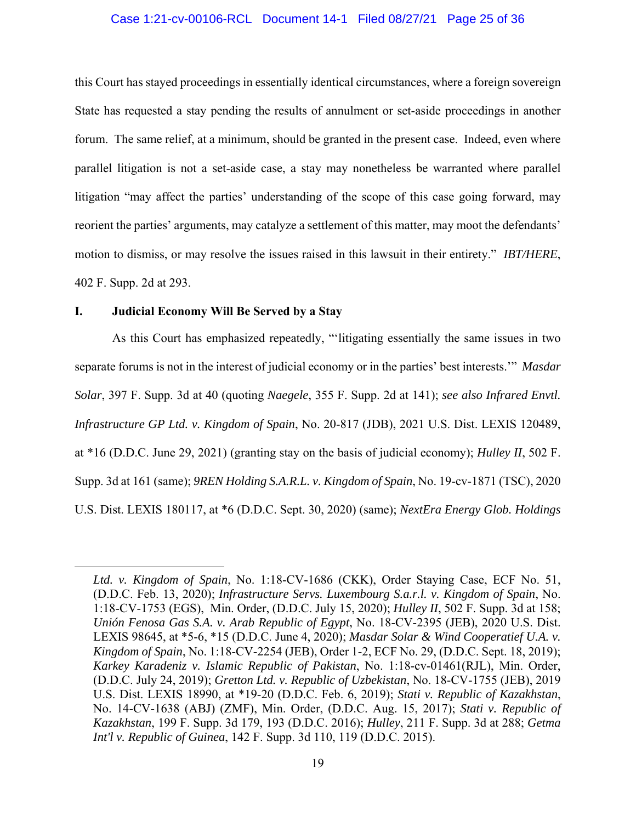### Case 1:21-cv-00106-RCL Document 14-1 Filed 08/27/21 Page 25 of 36

this Court has stayed proceedings in essentially identical circumstances, where a foreign sovereign State has requested a stay pending the results of annulment or set-aside proceedings in another forum. The same relief, at a minimum, should be granted in the present case. Indeed, even where parallel litigation is not a set-aside case, a stay may nonetheless be warranted where parallel litigation "may affect the parties' understanding of the scope of this case going forward, may reorient the parties' arguments, may catalyze a settlement of this matter, may moot the defendants' motion to dismiss, or may resolve the issues raised in this lawsuit in their entirety." *IBT/HERE*, 402 F. Supp. 2d at 293.

### **I. Judicial Economy Will Be Served by a Stay**

l

As this Court has emphasized repeatedly, "'litigating essentially the same issues in two separate forums is not in the interest of judicial economy or in the parties' best interests.'" *Masdar Solar*, 397 F. Supp. 3d at 40 (quoting *Naegele*, 355 F. Supp. 2d at 141); *see also Infrared Envtl. Infrastructure GP Ltd. v. Kingdom of Spain*, No. 20-817 (JDB), 2021 U.S. Dist. LEXIS 120489, at \*16 (D.D.C. June 29, 2021) (granting stay on the basis of judicial economy); *Hulley II*, 502 F. Supp. 3d at 161 (same); *9REN Holding S.A.R.L. v. Kingdom of Spain*, No. 19-cv-1871 (TSC), 2020 U.S. Dist. LEXIS 180117, at \*6 (D.D.C. Sept. 30, 2020) (same); *NextEra Energy Glob. Holdings* 

*Ltd. v. Kingdom of Spain*, No. 1:18-CV-1686 (CKK), Order Staying Case, ECF No. 51, (D.D.C. Feb. 13, 2020); *Infrastructure Servs. Luxembourg S.a.r.l. v. Kingdom of Spain*, No. 1:18-CV-1753 (EGS), Min. Order, (D.D.C. July 15, 2020); *Hulley II*, 502 F. Supp. 3d at 158; *Unión Fenosa Gas S.A. v. Arab Republic of Egypt*, No. 18-CV-2395 (JEB), 2020 U.S. Dist. LEXIS 98645, at \*5-6, \*15 (D.D.C. June 4, 2020); *Masdar Solar & Wind Cooperatief U.A. v. Kingdom of Spain*, No. 1:18-CV-2254 (JEB), Order 1-2, ECF No. 29, (D.D.C. Sept. 18, 2019); *Karkey Karadeniz v. Islamic Republic of Pakistan*, No. 1:18-cv-01461(RJL), Min. Order, (D.D.C. July 24, 2019); *Gretton Ltd. v. Republic of Uzbekistan*, No. 18-CV-1755 (JEB), 2019 U.S. Dist. LEXIS 18990, at \*19-20 (D.D.C. Feb. 6, 2019); *Stati v. Republic of Kazakhstan*, No. 14-CV-1638 (ABJ) (ZMF), Min. Order, (D.D.C. Aug. 15, 2017); *Stati v. Republic of Kazakhstan*, 199 F. Supp. 3d 179, 193 (D.D.C. 2016); *Hulley*, 211 F. Supp. 3d at 288; *Getma Int'l v. Republic of Guinea*, 142 F. Supp. 3d 110, 119 (D.D.C. 2015).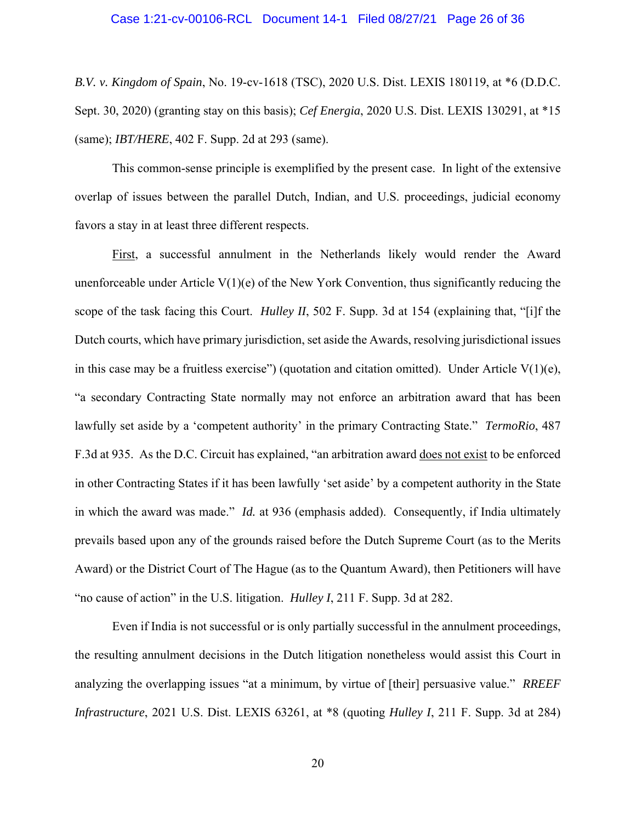#### Case 1:21-cv-00106-RCL Document 14-1 Filed 08/27/21 Page 26 of 36

*B.V. v. Kingdom of Spain*, No. 19-cv-1618 (TSC), 2020 U.S. Dist. LEXIS 180119, at \*6 (D.D.C. Sept. 30, 2020) (granting stay on this basis); *Cef Energia*, 2020 U.S. Dist. LEXIS 130291, at \*15 (same); *IBT/HERE*, 402 F. Supp. 2d at 293 (same).

This common-sense principle is exemplified by the present case. In light of the extensive overlap of issues between the parallel Dutch, Indian, and U.S. proceedings, judicial economy favors a stay in at least three different respects.

First, a successful annulment in the Netherlands likely would render the Award unenforceable under Article  $V(1)(e)$  of the New York Convention, thus significantly reducing the scope of the task facing this Court. *Hulley II*, 502 F. Supp. 3d at 154 (explaining that, "[i]f the Dutch courts, which have primary jurisdiction, set aside the Awards, resolving jurisdictional issues in this case may be a fruitless exercise") (quotation and citation omitted). Under Article  $V(1)(e)$ , "a secondary Contracting State normally may not enforce an arbitration award that has been lawfully set aside by a 'competent authority' in the primary Contracting State." *TermoRio*, 487 F.3d at 935. As the D.C. Circuit has explained, "an arbitration award does not exist to be enforced in other Contracting States if it has been lawfully 'set aside' by a competent authority in the State in which the award was made." *Id.* at 936 (emphasis added). Consequently, if India ultimately prevails based upon any of the grounds raised before the Dutch Supreme Court (as to the Merits Award) or the District Court of The Hague (as to the Quantum Award), then Petitioners will have "no cause of action" in the U.S. litigation. *Hulley I*, 211 F. Supp. 3d at 282.

Even if India is not successful or is only partially successful in the annulment proceedings, the resulting annulment decisions in the Dutch litigation nonetheless would assist this Court in analyzing the overlapping issues "at a minimum, by virtue of [their] persuasive value." *RREEF Infrastructure*, 2021 U.S. Dist. LEXIS 63261, at \*8 (quoting *Hulley I*, 211 F. Supp. 3d at 284)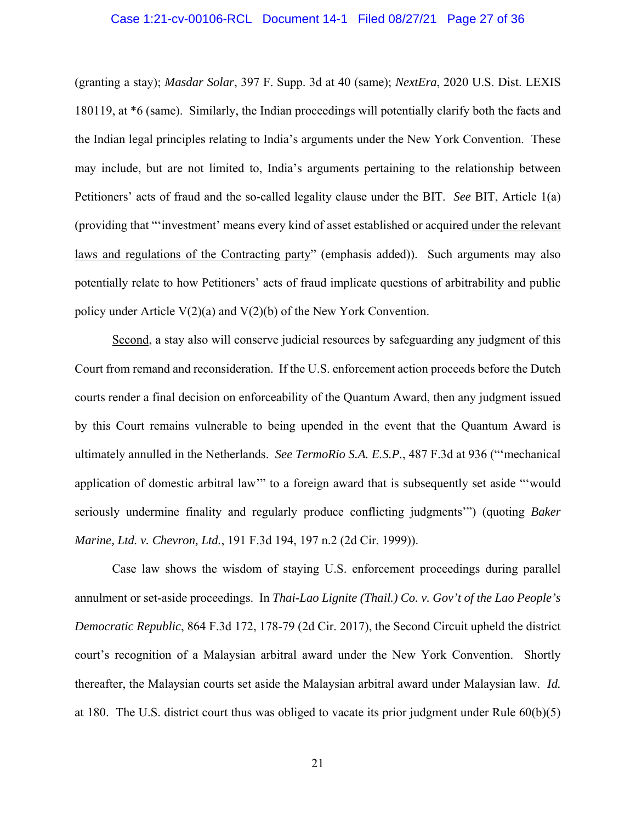#### Case 1:21-cv-00106-RCL Document 14-1 Filed 08/27/21 Page 27 of 36

(granting a stay); *Masdar Solar*, 397 F. Supp. 3d at 40 (same); *NextEra*, 2020 U.S. Dist. LEXIS 180119, at \*6 (same). Similarly, the Indian proceedings will potentially clarify both the facts and the Indian legal principles relating to India's arguments under the New York Convention. These may include, but are not limited to, India's arguments pertaining to the relationship between Petitioners' acts of fraud and the so-called legality clause under the BIT. *See* BIT, Article 1(a) (providing that "'investment' means every kind of asset established or acquired under the relevant laws and regulations of the Contracting party" (emphasis added)). Such arguments may also potentially relate to how Petitioners' acts of fraud implicate questions of arbitrability and public policy under Article  $V(2)(a)$  and  $V(2)(b)$  of the New York Convention.

Second, a stay also will conserve judicial resources by safeguarding any judgment of this Court from remand and reconsideration. If the U.S. enforcement action proceeds before the Dutch courts render a final decision on enforceability of the Quantum Award, then any judgment issued by this Court remains vulnerable to being upended in the event that the Quantum Award is ultimately annulled in the Netherlands. *See TermoRio S.A. E.S.P.*, 487 F.3d at 936 ("'mechanical application of domestic arbitral law'" to a foreign award that is subsequently set aside "'would seriously undermine finality and regularly produce conflicting judgments'") (quoting *Baker Marine, Ltd. v. Chevron, Ltd.*, 191 F.3d 194, 197 n.2 (2d Cir. 1999)).

Case law shows the wisdom of staying U.S. enforcement proceedings during parallel annulment or set-aside proceedings. In *Thai-Lao Lignite (Thail.) Co. v. Gov't of the Lao People's Democratic Republic*, 864 F.3d 172, 178-79 (2d Cir. 2017), the Second Circuit upheld the district court's recognition of a Malaysian arbitral award under the New York Convention. Shortly thereafter, the Malaysian courts set aside the Malaysian arbitral award under Malaysian law. *Id.* at 180. The U.S. district court thus was obliged to vacate its prior judgment under Rule 60(b)(5)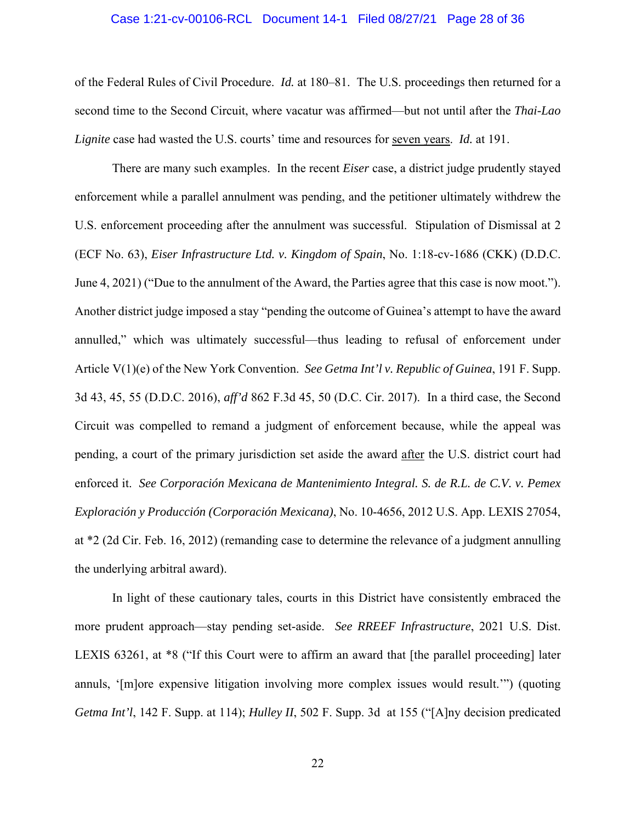#### Case 1:21-cv-00106-RCL Document 14-1 Filed 08/27/21 Page 28 of 36

of the Federal Rules of Civil Procedure. *Id.* at 180–81. The U.S. proceedings then returned for a second time to the Second Circuit, where vacatur was affirmed—but not until after the *Thai-Lao Lignite* case had wasted the U.S. courts' time and resources for seven years. *Id.* at 191.

There are many such examples. In the recent *Eiser* case, a district judge prudently stayed enforcement while a parallel annulment was pending, and the petitioner ultimately withdrew the U.S. enforcement proceeding after the annulment was successful. Stipulation of Dismissal at 2 (ECF No. 63), *Eiser Infrastructure Ltd. v. Kingdom of Spain*, No. 1:18-cv-1686 (CKK) (D.D.C. June 4, 2021) ("Due to the annulment of the Award, the Parties agree that this case is now moot."). Another district judge imposed a stay "pending the outcome of Guinea's attempt to have the award annulled," which was ultimately successful—thus leading to refusal of enforcement under Article V(1)(e) of the New York Convention. *See Getma Int'l v. Republic of Guinea*, 191 F. Supp. 3d 43, 45, 55 (D.D.C. 2016), *aff'd* 862 F.3d 45, 50 (D.C. Cir. 2017). In a third case, the Second Circuit was compelled to remand a judgment of enforcement because, while the appeal was pending, a court of the primary jurisdiction set aside the award after the U.S. district court had enforced it. *See Corporación Mexicana de Mantenimiento Integral. S. de R.L. de C.V. v. Pemex Exploración y Producción (Corporación Mexicana)*, No. 10-4656, 2012 U.S. App. LEXIS 27054, at \*2 (2d Cir. Feb. 16, 2012) (remanding case to determine the relevance of a judgment annulling the underlying arbitral award).

In light of these cautionary tales, courts in this District have consistently embraced the more prudent approach—stay pending set-aside. *See RREEF Infrastructure*, 2021 U.S. Dist. LEXIS 63261, at \*8 ("If this Court were to affirm an award that [the parallel proceeding] later annuls, '[m]ore expensive litigation involving more complex issues would result.'") (quoting *Getma Int'l*, 142 F. Supp. at 114); *Hulley II*, 502 F. Supp. 3d at 155 ("[A]ny decision predicated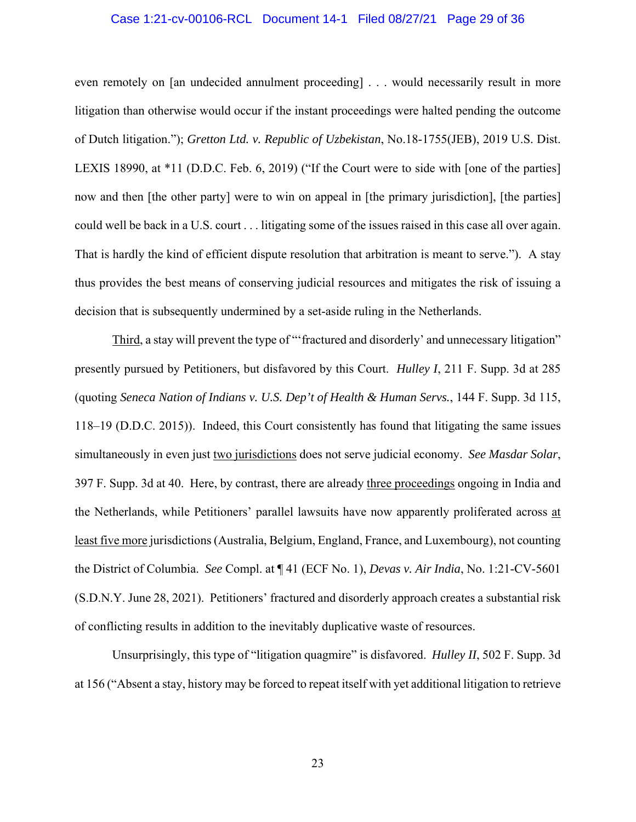### Case 1:21-cv-00106-RCL Document 14-1 Filed 08/27/21 Page 29 of 36

even remotely on [an undecided annulment proceeding] . . . would necessarily result in more litigation than otherwise would occur if the instant proceedings were halted pending the outcome of Dutch litigation."); *Gretton Ltd. v. Republic of Uzbekistan*, No.18-1755(JEB), 2019 U.S. Dist. LEXIS 18990, at \*11 (D.D.C. Feb. 6, 2019) ("If the Court were to side with [one of the parties] now and then [the other party] were to win on appeal in [the primary jurisdiction], [the parties] could well be back in a U.S. court . . . litigating some of the issues raised in this case all over again. That is hardly the kind of efficient dispute resolution that arbitration is meant to serve."). A stay thus provides the best means of conserving judicial resources and mitigates the risk of issuing a decision that is subsequently undermined by a set-aside ruling in the Netherlands.

Third, a stay will prevent the type of "'fractured and disorderly' and unnecessary litigation" presently pursued by Petitioners, but disfavored by this Court. *Hulley I*, 211 F. Supp. 3d at 285 (quoting *Seneca Nation of Indians v. U.S. Dep't of Health & Human Servs.*, 144 F. Supp. 3d 115, 118–19 (D.D.C. 2015)). Indeed, this Court consistently has found that litigating the same issues simultaneously in even just two jurisdictions does not serve judicial economy. *See Masdar Solar*, 397 F. Supp. 3d at 40. Here, by contrast, there are already three proceedings ongoing in India and the Netherlands, while Petitioners' parallel lawsuits have now apparently proliferated across at least five more jurisdictions (Australia, Belgium, England, France, and Luxembourg), not counting the District of Columbia. *See* Compl. at ¶ 41 (ECF No. 1), *Devas v. Air India*, No. 1:21-CV-5601 (S.D.N.Y. June 28, 2021). Petitioners' fractured and disorderly approach creates a substantial risk of conflicting results in addition to the inevitably duplicative waste of resources.

Unsurprisingly, this type of "litigation quagmire" is disfavored. *Hulley II*, 502 F. Supp. 3d at 156 ("Absent a stay, history may be forced to repeat itself with yet additional litigation to retrieve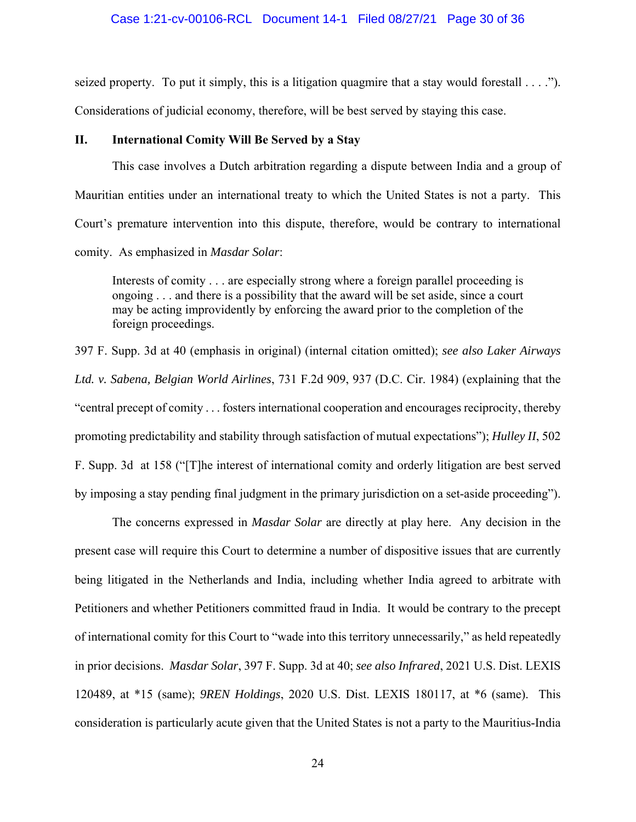#### Case 1:21-cv-00106-RCL Document 14-1 Filed 08/27/21 Page 30 of 36

seized property. To put it simply, this is a litigation quagmire that a stay would forestall  $\dots$ ."). Considerations of judicial economy, therefore, will be best served by staying this case.

### **II. International Comity Will Be Served by a Stay**

This case involves a Dutch arbitration regarding a dispute between India and a group of Mauritian entities under an international treaty to which the United States is not a party. This Court's premature intervention into this dispute, therefore, would be contrary to international comity. As emphasized in *Masdar Solar*:

Interests of comity . . . are especially strong where a foreign parallel proceeding is ongoing . . . and there is a possibility that the award will be set aside, since a court may be acting improvidently by enforcing the award prior to the completion of the foreign proceedings.

397 F. Supp. 3d at 40 (emphasis in original) (internal citation omitted); *see also Laker Airways Ltd. v. Sabena, Belgian World Airlines*, 731 F.2d 909, 937 (D.C. Cir. 1984) (explaining that the "central precept of comity . . . fosters international cooperation and encourages reciprocity, thereby promoting predictability and stability through satisfaction of mutual expectations"); *Hulley II*, 502 F. Supp. 3d at 158 ("[T]he interest of international comity and orderly litigation are best served by imposing a stay pending final judgment in the primary jurisdiction on a set-aside proceeding").

The concerns expressed in *Masdar Solar* are directly at play here. Any decision in the present case will require this Court to determine a number of dispositive issues that are currently being litigated in the Netherlands and India, including whether India agreed to arbitrate with Petitioners and whether Petitioners committed fraud in India. It would be contrary to the precept of international comity for this Court to "wade into this territory unnecessarily," as held repeatedly in prior decisions. *Masdar Solar*, 397 F. Supp. 3d at 40; *see also Infrared*, 2021 U.S. Dist. LEXIS 120489, at \*15 (same); *9REN Holdings*, 2020 U.S. Dist. LEXIS 180117, at \*6 (same). This consideration is particularly acute given that the United States is not a party to the Mauritius-India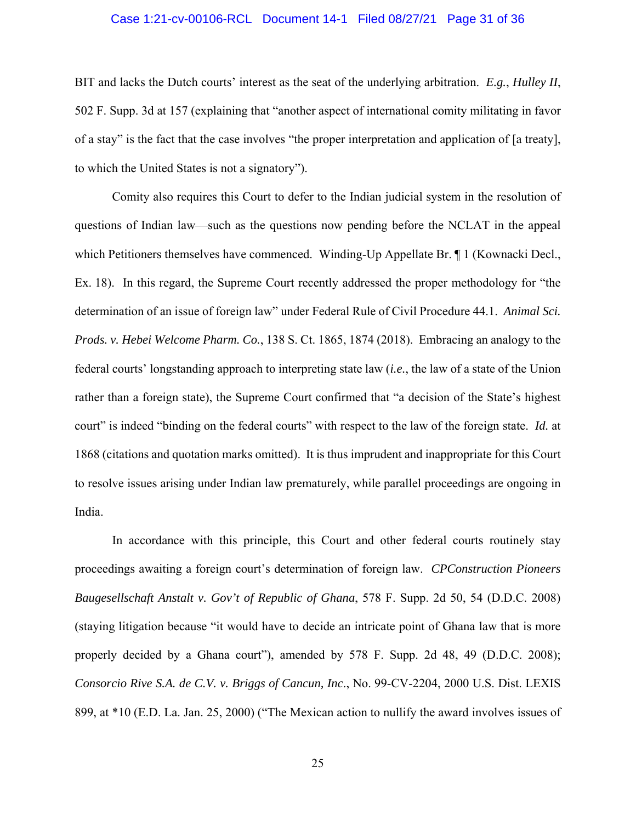### Case 1:21-cv-00106-RCL Document 14-1 Filed 08/27/21 Page 31 of 36

BIT and lacks the Dutch courts' interest as the seat of the underlying arbitration. *E.g.*, *Hulley II*, 502 F. Supp. 3d at 157 (explaining that "another aspect of international comity militating in favor of a stay" is the fact that the case involves "the proper interpretation and application of [a treaty], to which the United States is not a signatory").

Comity also requires this Court to defer to the Indian judicial system in the resolution of questions of Indian law—such as the questions now pending before the NCLAT in the appeal which Petitioners themselves have commenced. Winding-Up Appellate Br. ¶ 1 (Kownacki Decl., Ex. 18). In this regard, the Supreme Court recently addressed the proper methodology for "the determination of an issue of foreign law" under Federal Rule of Civil Procedure 44.1. *Animal Sci. Prods. v. Hebei Welcome Pharm. Co.*, 138 S. Ct. 1865, 1874 (2018). Embracing an analogy to the federal courts' longstanding approach to interpreting state law (*i.e.*, the law of a state of the Union rather than a foreign state), the Supreme Court confirmed that "a decision of the State's highest court" is indeed "binding on the federal courts" with respect to the law of the foreign state. *Id.* at 1868 (citations and quotation marks omitted). It is thus imprudent and inappropriate for this Court to resolve issues arising under Indian law prematurely, while parallel proceedings are ongoing in India.

In accordance with this principle, this Court and other federal courts routinely stay proceedings awaiting a foreign court's determination of foreign law. *CPConstruction Pioneers Baugesellschaft Anstalt v. Gov't of Republic of Ghana*, 578 F. Supp. 2d 50, 54 (D.D.C. 2008) (staying litigation because "it would have to decide an intricate point of Ghana law that is more properly decided by a Ghana court"), amended by 578 F. Supp. 2d 48, 49 (D.D.C. 2008); *Consorcio Rive S.A. de C.V. v. Briggs of Cancun, Inc*., No. 99-CV-2204, 2000 U.S. Dist. LEXIS 899, at \*10 (E.D. La. Jan. 25, 2000) ("The Mexican action to nullify the award involves issues of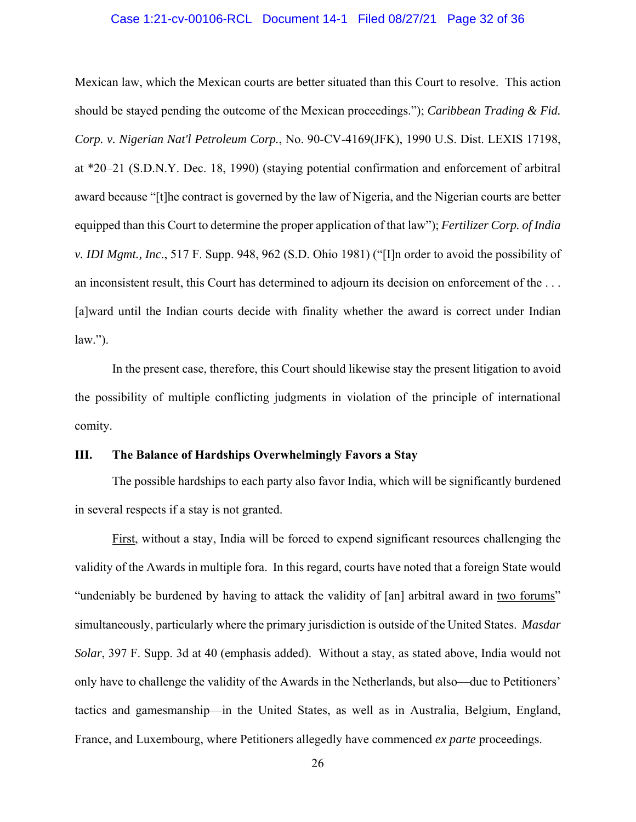#### Case 1:21-cv-00106-RCL Document 14-1 Filed 08/27/21 Page 32 of 36

Mexican law, which the Mexican courts are better situated than this Court to resolve. This action should be stayed pending the outcome of the Mexican proceedings."); *Caribbean Trading & Fid. Corp. v. Nigerian Nat'l Petroleum Corp.*, No. 90-CV-4169(JFK), 1990 U.S. Dist. LEXIS 17198, at \*20–21 (S.D.N.Y. Dec. 18, 1990) (staying potential confirmation and enforcement of arbitral award because "[t]he contract is governed by the law of Nigeria, and the Nigerian courts are better equipped than this Court to determine the proper application of that law"); *Fertilizer Corp. of India v. IDI Mgmt., Inc*., 517 F. Supp. 948, 962 (S.D. Ohio 1981) ("[I]n order to avoid the possibility of an inconsistent result, this Court has determined to adjourn its decision on enforcement of the . . . [a]ward until the Indian courts decide with finality whether the award is correct under Indian  $law.'$ ).

In the present case, therefore, this Court should likewise stay the present litigation to avoid the possibility of multiple conflicting judgments in violation of the principle of international comity.

## **III. The Balance of Hardships Overwhelmingly Favors a Stay**

The possible hardships to each party also favor India, which will be significantly burdened in several respects if a stay is not granted.

 First, without a stay, India will be forced to expend significant resources challenging the validity of the Awards in multiple fora. In this regard, courts have noted that a foreign State would "undeniably be burdened by having to attack the validity of [an] arbitral award in two forums" simultaneously, particularly where the primary jurisdiction is outside of the United States. *Masdar Solar*, 397 F. Supp. 3d at 40 (emphasis added). Without a stay, as stated above, India would not only have to challenge the validity of the Awards in the Netherlands, but also—due to Petitioners' tactics and gamesmanship—in the United States, as well as in Australia, Belgium, England, France, and Luxembourg, where Petitioners allegedly have commenced *ex parte* proceedings.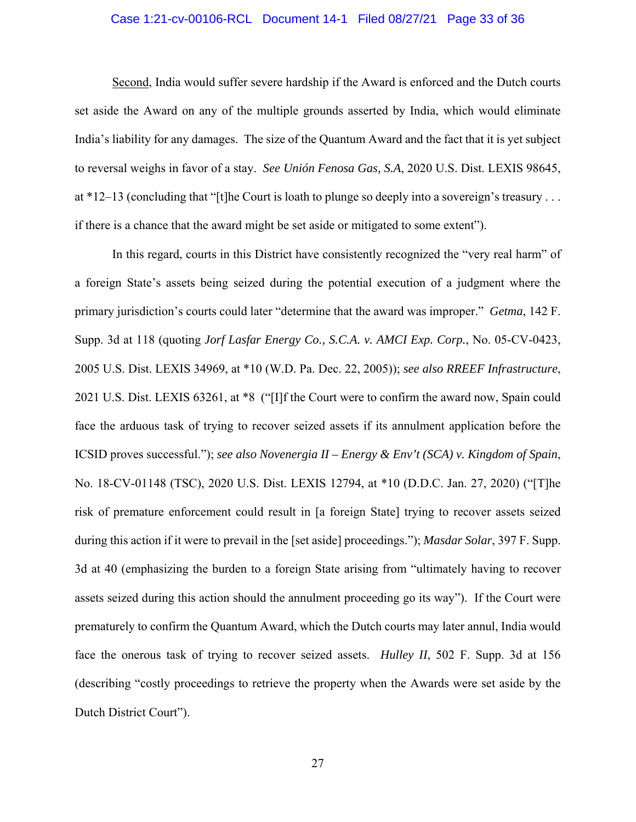### Case 1:21-cv-00106-RCL Document 14-1 Filed 08/27/21 Page 33 of 36

 Second, India would suffer severe hardship if the Award is enforced and the Dutch courts set aside the Award on any of the multiple grounds asserted by India, which would eliminate India's liability for any damages. The size of the Quantum Award and the fact that it is yet subject to reversal weighs in favor of a stay. *See Unión Fenosa Gas, S.A*, 2020 U.S. Dist. LEXIS 98645, at \*12–13 (concluding that "[t]he Court is loath to plunge so deeply into a sovereign's treasury . . . if there is a chance that the award might be set aside or mitigated to some extent").

 In this regard, courts in this District have consistently recognized the "very real harm" of a foreign State's assets being seized during the potential execution of a judgment where the primary jurisdiction's courts could later "determine that the award was improper." *Getma*, 142 F. Supp. 3d at 118 (quoting *Jorf Lasfar Energy Co., S.C.A. v. AMCI Exp. Corp.*, No. 05-CV-0423, 2005 U.S. Dist. LEXIS 34969, at \*10 (W.D. Pa. Dec. 22, 2005)); *see also RREEF Infrastructure*, 2021 U.S. Dist. LEXIS 63261, at \*8 ("[I]f the Court were to confirm the award now, Spain could face the arduous task of trying to recover seized assets if its annulment application before the ICSID proves successful."); *see also Novenergia II – Energy & Env't (SCA) v. Kingdom of Spain*, No. 18-CV-01148 (TSC), 2020 U.S. Dist. LEXIS 12794, at \*10 (D.D.C. Jan. 27, 2020) ("[T]he risk of premature enforcement could result in [a foreign State] trying to recover assets seized during this action if it were to prevail in the [set aside] proceedings."); *Masdar Solar*, 397 F. Supp. 3d at 40 (emphasizing the burden to a foreign State arising from "ultimately having to recover assets seized during this action should the annulment proceeding go its way"). If the Court were prematurely to confirm the Quantum Award, which the Dutch courts may later annul, India would face the onerous task of trying to recover seized assets. *Hulley II*, 502 F. Supp. 3d at 156 (describing "costly proceedings to retrieve the property when the Awards were set aside by the Dutch District Court").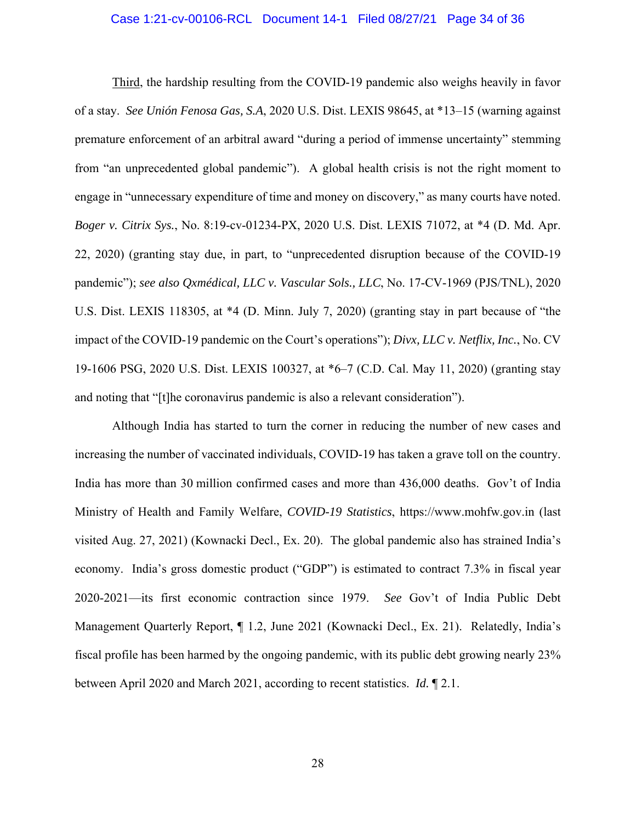#### Case 1:21-cv-00106-RCL Document 14-1 Filed 08/27/21 Page 34 of 36

 Third, the hardship resulting from the COVID-19 pandemic also weighs heavily in favor of a stay. *See Unión Fenosa Gas, S.A*, 2020 U.S. Dist. LEXIS 98645, at \*13–15 (warning against premature enforcement of an arbitral award "during a period of immense uncertainty" stemming from "an unprecedented global pandemic"). A global health crisis is not the right moment to engage in "unnecessary expenditure of time and money on discovery," as many courts have noted. *Boger v. Citrix Sys.*, No. 8:19-cv-01234-PX, 2020 U.S. Dist. LEXIS 71072, at \*4 (D. Md. Apr. 22, 2020) (granting stay due, in part, to "unprecedented disruption because of the COVID-19 pandemic"); *see also Qxmédical, LLC v. Vascular Sols., LLC*, No. 17-CV-1969 (PJS/TNL), 2020 U.S. Dist. LEXIS 118305, at \*4 (D. Minn. July 7, 2020) (granting stay in part because of "the impact of the COVID-19 pandemic on the Court's operations"); *Divx, LLC v. Netflix, Inc.*, No. CV 19-1606 PSG, 2020 U.S. Dist. LEXIS 100327, at \*6–7 (C.D. Cal. May 11, 2020) (granting stay and noting that "[t]he coronavirus pandemic is also a relevant consideration").

Although India has started to turn the corner in reducing the number of new cases and increasing the number of vaccinated individuals, COVID-19 has taken a grave toll on the country. India has more than 30 million confirmed cases and more than 436,000 deaths. Gov't of India Ministry of Health and Family Welfare, *COVID-19 Statistics*, https://www.mohfw.gov.in (last visited Aug. 27, 2021) (Kownacki Decl., Ex. 20). The global pandemic also has strained India's economy. India's gross domestic product ("GDP") is estimated to contract 7.3% in fiscal year 2020-2021—its first economic contraction since 1979. *See* Gov't of India Public Debt Management Quarterly Report, ¶ 1.2, June 2021 (Kownacki Decl., Ex. 21). Relatedly, India's fiscal profile has been harmed by the ongoing pandemic, with its public debt growing nearly 23% between April 2020 and March 2021, according to recent statistics. *Id.* ¶ 2.1.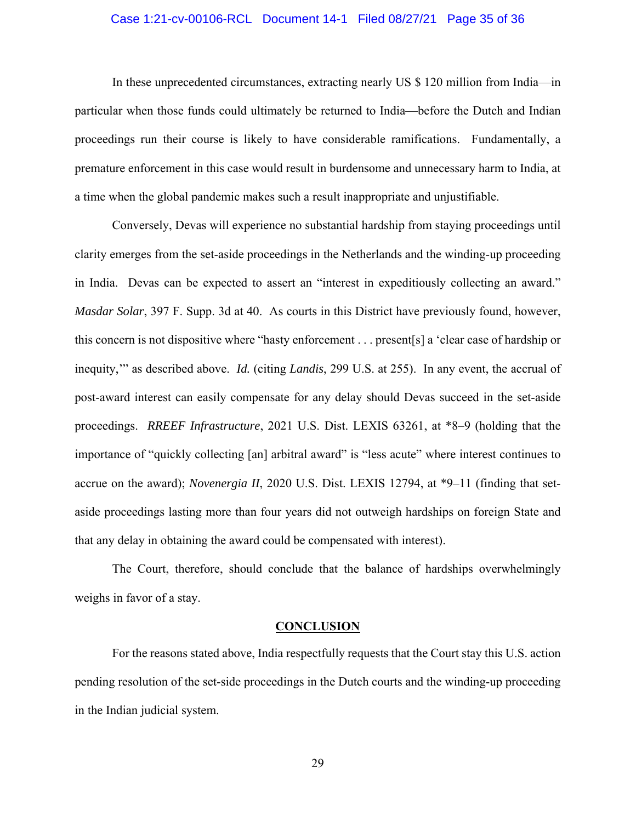### Case 1:21-cv-00106-RCL Document 14-1 Filed 08/27/21 Page 35 of 36

In these unprecedented circumstances, extracting nearly US \$ 120 million from India—in particular when those funds could ultimately be returned to India—before the Dutch and Indian proceedings run their course is likely to have considerable ramifications. Fundamentally, a premature enforcement in this case would result in burdensome and unnecessary harm to India, at a time when the global pandemic makes such a result inappropriate and unjustifiable.

 Conversely, Devas will experience no substantial hardship from staying proceedings until clarity emerges from the set-aside proceedings in the Netherlands and the winding-up proceeding in India. Devas can be expected to assert an "interest in expeditiously collecting an award." *Masdar Solar*, 397 F. Supp. 3d at 40. As courts in this District have previously found, however, this concern is not dispositive where "hasty enforcement . . . present[s] a 'clear case of hardship or inequity,'" as described above. *Id.* (citing *Landis*, 299 U.S. at 255). In any event, the accrual of post-award interest can easily compensate for any delay should Devas succeed in the set-aside proceedings. *RREEF Infrastructure*, 2021 U.S. Dist. LEXIS 63261, at \*8–9 (holding that the importance of "quickly collecting [an] arbitral award" is "less acute" where interest continues to accrue on the award); *Novenergia II*, 2020 U.S. Dist. LEXIS 12794, at \*9–11 (finding that setaside proceedings lasting more than four years did not outweigh hardships on foreign State and that any delay in obtaining the award could be compensated with interest).

The Court, therefore, should conclude that the balance of hardships overwhelmingly weighs in favor of a stay.

#### **CONCLUSION**

For the reasons stated above, India respectfully requests that the Court stay this U.S. action pending resolution of the set-side proceedings in the Dutch courts and the winding-up proceeding in the Indian judicial system.